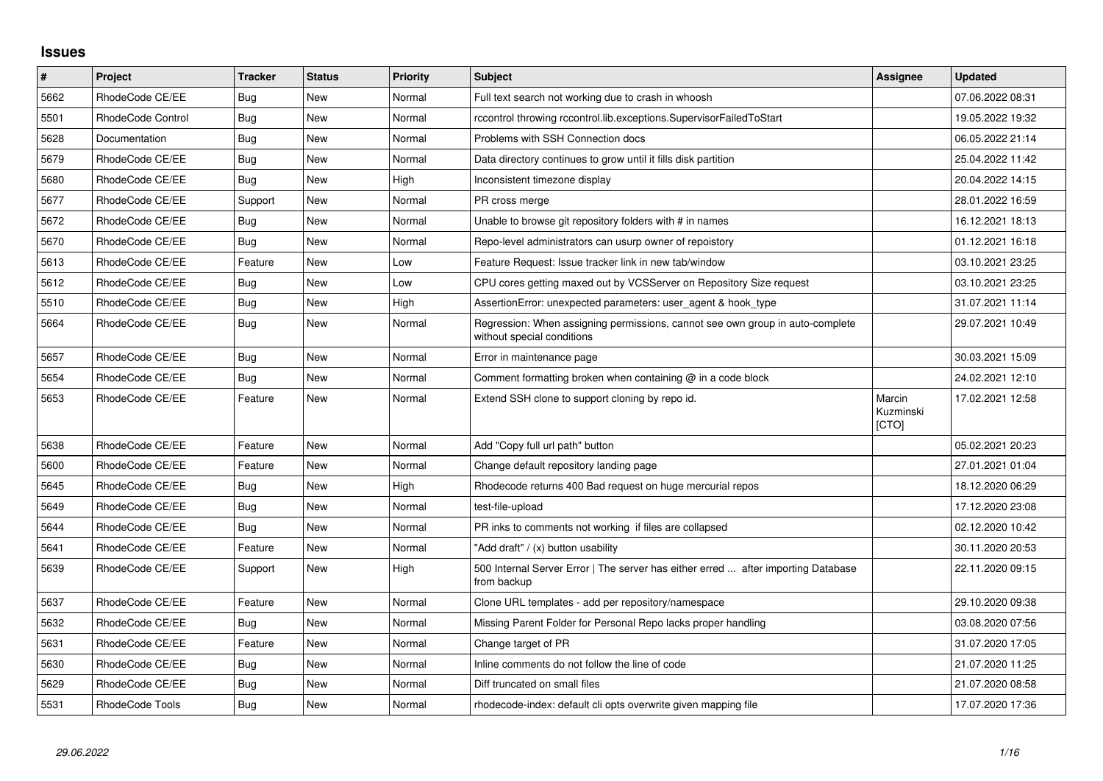## **Issues**

| $\sharp$ | <b>Project</b>    | <b>Tracker</b> | <b>Status</b> | <b>Priority</b> | Subject                                                                                                     | Assignee                     | <b>Updated</b>   |
|----------|-------------------|----------------|---------------|-----------------|-------------------------------------------------------------------------------------------------------------|------------------------------|------------------|
| 5662     | RhodeCode CE/EE   | Bug            | New           | Normal          | Full text search not working due to crash in whoosh                                                         |                              | 07.06.2022 08:31 |
| 5501     | RhodeCode Control | Bug            | <b>New</b>    | Normal          | rccontrol throwing rccontrol.lib.exceptions.SupervisorFailedToStart                                         |                              | 19.05.2022 19:32 |
| 5628     | Documentation     | Bug            | <b>New</b>    | Normal          | Problems with SSH Connection docs                                                                           |                              | 06.05.2022 21:14 |
| 5679     | RhodeCode CE/EE   | <b>Bug</b>     | <b>New</b>    | Normal          | Data directory continues to grow until it fills disk partition                                              |                              | 25.04.2022 11:42 |
| 5680     | RhodeCode CE/EE   | Bug            | <b>New</b>    | High            | Inconsistent timezone display                                                                               |                              | 20.04.2022 14:15 |
| 5677     | RhodeCode CE/EE   | Support        | New           | Normal          | PR cross merge                                                                                              |                              | 28.01.2022 16:59 |
| 5672     | RhodeCode CE/EE   | Bug            | <b>New</b>    | Normal          | Unable to browse git repository folders with # in names                                                     |                              | 16.12.2021 18:13 |
| 5670     | RhodeCode CE/EE   | Bug            | New           | Normal          | Repo-level administrators can usurp owner of repoistory                                                     |                              | 01.12.2021 16:18 |
| 5613     | RhodeCode CE/EE   | Feature        | <b>New</b>    | Low             | Feature Request: Issue tracker link in new tab/window                                                       |                              | 03.10.2021 23:25 |
| 5612     | RhodeCode CE/EE   | Bug            | New           | Low             | CPU cores getting maxed out by VCSServer on Repository Size request                                         |                              | 03.10.2021 23:25 |
| 5510     | RhodeCode CE/EE   | Bug            | <b>New</b>    | High            | AssertionError: unexpected parameters: user agent & hook type                                               |                              | 31.07.2021 11:14 |
| 5664     | RhodeCode CE/EE   | <b>Bug</b>     | <b>New</b>    | Normal          | Regression: When assigning permissions, cannot see own group in auto-complete<br>without special conditions |                              | 29.07.2021 10:49 |
| 5657     | RhodeCode CE/EE   | <b>Bug</b>     | <b>New</b>    | Normal          | Error in maintenance page                                                                                   |                              | 30.03.2021 15:09 |
| 5654     | RhodeCode CE/EE   | Bug            | New           | Normal          | Comment formatting broken when containing $@$ in a code block                                               |                              | 24.02.2021 12:10 |
| 5653     | RhodeCode CE/EE   | Feature        | <b>New</b>    | Normal          | Extend SSH clone to support cloning by repo id.                                                             | Marcin<br>Kuzminski<br>[CTO] | 17.02.2021 12:58 |
| 5638     | RhodeCode CE/EE   | Feature        | <b>New</b>    | Normal          | Add "Copy full url path" button                                                                             |                              | 05.02.2021 20:23 |
| 5600     | RhodeCode CE/EE   | Feature        | New           | Normal          | Change default repository landing page                                                                      |                              | 27.01.2021 01:04 |
| 5645     | RhodeCode CE/EE   | Bug            | New           | High            | Rhodecode returns 400 Bad request on huge mercurial repos                                                   |                              | 18.12.2020 06:29 |
| 5649     | RhodeCode CE/EE   | <b>Bug</b>     | New           | Normal          | test-file-upload                                                                                            |                              | 17.12.2020 23:08 |
| 5644     | RhodeCode CE/EE   | Bug            | <b>New</b>    | Normal          | PR inks to comments not working if files are collapsed                                                      |                              | 02.12.2020 10:42 |
| 5641     | RhodeCode CE/EE   | Feature        | <b>New</b>    | Normal          | 'Add draft" / (x) button usability                                                                          |                              | 30.11.2020 20:53 |
| 5639     | RhodeCode CE/EE   | Support        | <b>New</b>    | High            | 500 Internal Server Error   The server has either erred  after importing Database<br>from backup            |                              | 22.11.2020 09:15 |
| 5637     | RhodeCode CE/EE   | Feature        | <b>New</b>    | Normal          | Clone URL templates - add per repository/namespace                                                          |                              | 29.10.2020 09:38 |
| 5632     | RhodeCode CE/EE   | Bug            | <b>New</b>    | Normal          | Missing Parent Folder for Personal Repo lacks proper handling                                               |                              | 03.08.2020 07:56 |
| 5631     | RhodeCode CE/EE   | Feature        | <b>New</b>    | Normal          | Change target of PR                                                                                         |                              | 31.07.2020 17:05 |
| 5630     | RhodeCode CE/EE   | Bug            | <b>New</b>    | Normal          | Inline comments do not follow the line of code                                                              |                              | 21.07.2020 11:25 |
| 5629     | RhodeCode CE/EE   | Bug            | New           | Normal          | Diff truncated on small files                                                                               |                              | 21.07.2020 08:58 |
| 5531     | RhodeCode Tools   | Bug            | New           | Normal          | rhodecode-index: default cli opts overwrite given mapping file                                              |                              | 17.07.2020 17:36 |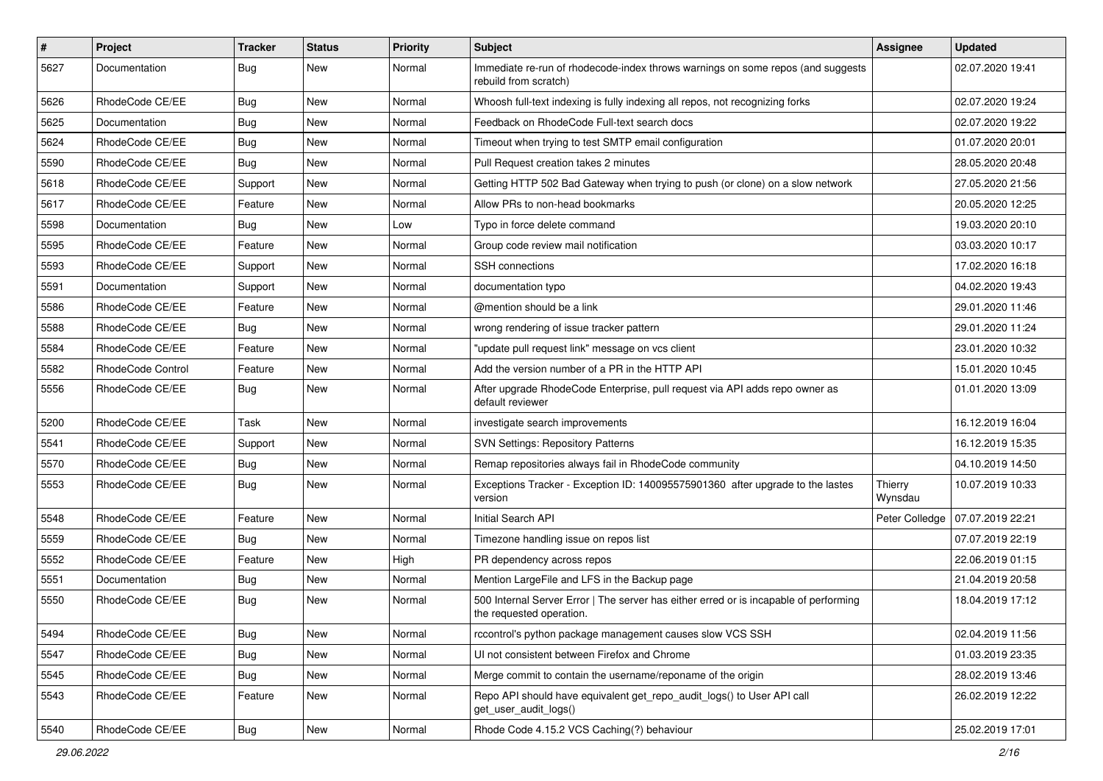| $\sharp$ | Project           | <b>Tracker</b> | <b>Status</b> | <b>Priority</b> | <b>Subject</b>                                                                                                    | <b>Assignee</b>    | <b>Updated</b>   |
|----------|-------------------|----------------|---------------|-----------------|-------------------------------------------------------------------------------------------------------------------|--------------------|------------------|
| 5627     | Documentation     | Bug            | New           | Normal          | Immediate re-run of rhodecode-index throws warnings on some repos (and suggests<br>rebuild from scratch)          |                    | 02.07.2020 19:41 |
| 5626     | RhodeCode CE/EE   | Bug            | <b>New</b>    | Normal          | Whoosh full-text indexing is fully indexing all repos, not recognizing forks                                      |                    | 02.07.2020 19:24 |
| 5625     | Documentation     | Bug            | New           | Normal          | Feedback on RhodeCode Full-text search docs                                                                       |                    | 02.07.2020 19:22 |
| 5624     | RhodeCode CE/EE   | Bug            | <b>New</b>    | Normal          | Timeout when trying to test SMTP email configuration                                                              |                    | 01.07.2020 20:01 |
| 5590     | RhodeCode CE/EE   | Bug            | New           | Normal          | Pull Request creation takes 2 minutes                                                                             |                    | 28.05.2020 20:48 |
| 5618     | RhodeCode CE/EE   | Support        | New           | Normal          | Getting HTTP 502 Bad Gateway when trying to push (or clone) on a slow network                                     |                    | 27.05.2020 21:56 |
| 5617     | RhodeCode CE/EE   | Feature        | <b>New</b>    | Normal          | Allow PRs to non-head bookmarks                                                                                   |                    | 20.05.2020 12:25 |
| 5598     | Documentation     | Bug            | New           | Low             | Typo in force delete command                                                                                      |                    | 19.03.2020 20:10 |
| 5595     | RhodeCode CE/EE   | Feature        | <b>New</b>    | Normal          | Group code review mail notification                                                                               |                    | 03.03.2020 10:17 |
| 5593     | RhodeCode CE/EE   | Support        | New           | Normal          | <b>SSH</b> connections                                                                                            |                    | 17.02.2020 16:18 |
| 5591     | Documentation     | Support        | New           | Normal          | documentation typo                                                                                                |                    | 04.02.2020 19:43 |
| 5586     | RhodeCode CE/EE   | Feature        | <b>New</b>    | Normal          | @mention should be a link                                                                                         |                    | 29.01.2020 11:46 |
| 5588     | RhodeCode CE/EE   | <b>Bug</b>     | New           | Normal          | wrong rendering of issue tracker pattern                                                                          |                    | 29.01.2020 11:24 |
| 5584     | RhodeCode CE/EE   | Feature        | New           | Normal          | "update pull request link" message on vcs client                                                                  |                    | 23.01.2020 10:32 |
| 5582     | RhodeCode Control | Feature        | New           | Normal          | Add the version number of a PR in the HTTP API                                                                    |                    | 15.01.2020 10:45 |
| 5556     | RhodeCode CE/EE   | Bug            | New           | Normal          | After upgrade RhodeCode Enterprise, pull request via API adds repo owner as<br>default reviewer                   |                    | 01.01.2020 13:09 |
| 5200     | RhodeCode CE/EE   | Task           | <b>New</b>    | Normal          | investigate search improvements                                                                                   |                    | 16.12.2019 16:04 |
| 5541     | RhodeCode CE/EE   | Support        | New           | Normal          | <b>SVN Settings: Repository Patterns</b>                                                                          |                    | 16.12.2019 15:35 |
| 5570     | RhodeCode CE/EE   | Bug            | <b>New</b>    | Normal          | Remap repositories always fail in RhodeCode community                                                             |                    | 04.10.2019 14:50 |
| 5553     | RhodeCode CE/EE   | Bug            | New           | Normal          | Exceptions Tracker - Exception ID: 140095575901360 after upgrade to the lastes<br>version                         | Thierry<br>Wynsdau | 10.07.2019 10:33 |
| 5548     | RhodeCode CE/EE   | Feature        | New           | Normal          | Initial Search API                                                                                                | Peter Colledge     | 07.07.2019 22:21 |
| 5559     | RhodeCode CE/EE   | Bug            | <b>New</b>    | Normal          | Timezone handling issue on repos list                                                                             |                    | 07.07.2019 22:19 |
| 5552     | RhodeCode CE/EE   | Feature        | <b>New</b>    | High            | PR dependency across repos                                                                                        |                    | 22.06.2019 01:15 |
| 5551     | Documentation     | Bug            | New           | Normal          | Mention LargeFile and LFS in the Backup page                                                                      |                    | 21.04.2019 20:58 |
| 5550     | RhodeCode CE/EE   | <b>Bug</b>     | New           | Normal          | 500 Internal Server Error   The server has either erred or is incapable of performing<br>the requested operation. |                    | 18.04.2019 17:12 |
| 5494     | RhodeCode CE/EE   | Bug            | New           | Normal          | rccontrol's python package management causes slow VCS SSH                                                         |                    | 02.04.2019 11:56 |
| 5547     | RhodeCode CE/EE   | Bug            | <b>New</b>    | Normal          | UI not consistent between Firefox and Chrome                                                                      |                    | 01.03.2019 23:35 |
| 5545     | RhodeCode CE/EE   | Bug            | New           | Normal          | Merge commit to contain the username/reponame of the origin                                                       |                    | 28.02.2019 13:46 |
| 5543     | RhodeCode CE/EE   | Feature        | New           | Normal          | Repo API should have equivalent get_repo_audit_logs() to User API call<br>get user audit logs()                   |                    | 26.02.2019 12:22 |
| 5540     | RhodeCode CE/EE   | <b>Bug</b>     | New           | Normal          | Rhode Code 4.15.2 VCS Caching(?) behaviour                                                                        |                    | 25.02.2019 17:01 |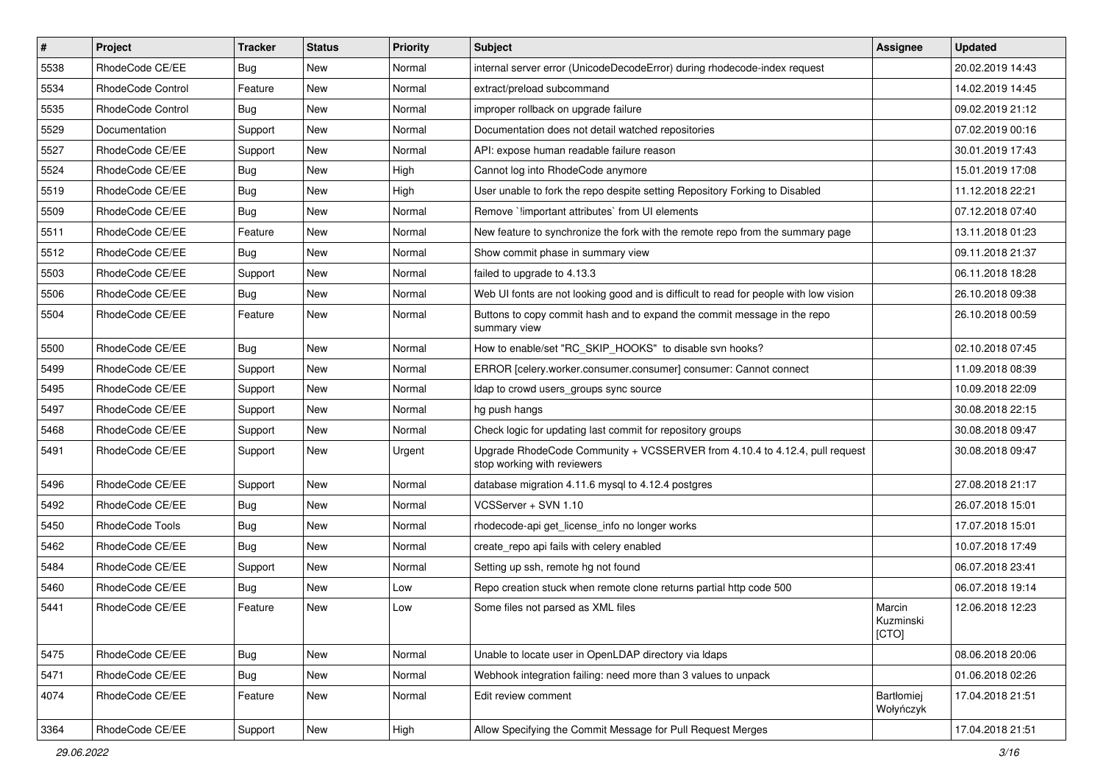| $\sharp$ | Project                  | <b>Tracker</b> | <b>Status</b> | Priority | <b>Subject</b>                                                                                             | <b>Assignee</b>              | <b>Updated</b>   |
|----------|--------------------------|----------------|---------------|----------|------------------------------------------------------------------------------------------------------------|------------------------------|------------------|
| 5538     | RhodeCode CE/EE          | Bug            | New           | Normal   | internal server error (UnicodeDecodeError) during rhodecode-index request                                  |                              | 20.02.2019 14:43 |
| 5534     | <b>RhodeCode Control</b> | Feature        | <b>New</b>    | Normal   | extract/preload subcommand                                                                                 |                              | 14.02.2019 14:45 |
| 5535     | RhodeCode Control        | Bug            | New           | Normal   | improper rollback on upgrade failure                                                                       |                              | 09.02.2019 21:12 |
| 5529     | Documentation            | Support        | New           | Normal   | Documentation does not detail watched repositories                                                         |                              | 07.02.2019 00:16 |
| 5527     | RhodeCode CE/EE          | Support        | <b>New</b>    | Normal   | API: expose human readable failure reason                                                                  |                              | 30.01.2019 17:43 |
| 5524     | RhodeCode CE/EE          | <b>Bug</b>     | New           | High     | Cannot log into RhodeCode anymore                                                                          |                              | 15.01.2019 17:08 |
| 5519     | RhodeCode CE/EE          | Bug            | New           | High     | User unable to fork the repo despite setting Repository Forking to Disabled                                |                              | 11.12.2018 22:21 |
| 5509     | RhodeCode CE/EE          | Bug            | New           | Normal   | Remove `limportant attributes` from UI elements                                                            |                              | 07.12.2018 07:40 |
| 5511     | RhodeCode CE/EE          | Feature        | <b>New</b>    | Normal   | New feature to synchronize the fork with the remote repo from the summary page                             |                              | 13.11.2018 01:23 |
| 5512     | RhodeCode CE/EE          | Bug            | <b>New</b>    | Normal   | Show commit phase in summary view                                                                          |                              | 09.11.2018 21:37 |
| 5503     | RhodeCode CE/EE          | Support        | New           | Normal   | failed to upgrade to 4.13.3                                                                                |                              | 06.11.2018 18:28 |
| 5506     | RhodeCode CE/EE          | Bug            | New           | Normal   | Web UI fonts are not looking good and is difficult to read for people with low vision                      |                              | 26.10.2018 09:38 |
| 5504     | RhodeCode CE/EE          | Feature        | New           | Normal   | Buttons to copy commit hash and to expand the commit message in the repo<br>summary view                   |                              | 26.10.2018 00:59 |
| 5500     | RhodeCode CE/EE          | Bug            | <b>New</b>    | Normal   | How to enable/set "RC_SKIP_HOOKS" to disable svn hooks?                                                    |                              | 02.10.2018 07:45 |
| 5499     | RhodeCode CE/EE          | Support        | New           | Normal   | ERROR [celery.worker.consumer.consumer] consumer: Cannot connect                                           |                              | 11.09.2018 08:39 |
| 5495     | RhodeCode CE/EE          | Support        | New           | Normal   | Idap to crowd users_groups sync source                                                                     |                              | 10.09.2018 22:09 |
| 5497     | RhodeCode CE/EE          | Support        | <b>New</b>    | Normal   | hg push hangs                                                                                              |                              | 30.08.2018 22:15 |
| 5468     | RhodeCode CE/EE          | Support        | New           | Normal   | Check logic for updating last commit for repository groups                                                 |                              | 30.08.2018 09:47 |
| 5491     | RhodeCode CE/EE          | Support        | New           | Urgent   | Upgrade RhodeCode Community + VCSSERVER from 4.10.4 to 4.12.4, pull request<br>stop working with reviewers |                              | 30.08.2018 09:47 |
| 5496     | RhodeCode CE/EE          | Support        | <b>New</b>    | Normal   | database migration 4.11.6 mysql to 4.12.4 postgres                                                         |                              | 27.08.2018 21:17 |
| 5492     | RhodeCode CE/EE          | Bug            | New           | Normal   | VCSServer + SVN 1.10                                                                                       |                              | 26.07.2018 15:01 |
| 5450     | RhodeCode Tools          | <b>Bug</b>     | New           | Normal   | rhodecode-api get license info no longer works                                                             |                              | 17.07.2018 15:01 |
| 5462     | RhodeCode CE/EE          | <b>Bug</b>     | New           | Normal   | create repo api fails with celery enabled                                                                  |                              | 10.07.2018 17:49 |
| 5484     | RhodeCode CE/EE          | Support        | <b>New</b>    | Normal   | Setting up ssh, remote hg not found                                                                        |                              | 06.07.2018 23:41 |
| 5460     | RhodeCode CE/EE          | Bug            | New           | Low      | Repo creation stuck when remote clone returns partial http code 500                                        |                              | 06.07.2018 19:14 |
| 5441     | RhodeCode CE/EE          | Feature        | New           | Low      | Some files not parsed as XML files                                                                         | Marcin<br>Kuzminski<br>[CTO] | 12.06.2018 12:23 |
| 5475     | RhodeCode CE/EE          | Bug            | <b>New</b>    | Normal   | Unable to locate user in OpenLDAP directory via Idaps                                                      |                              | 08.06.2018 20:06 |
| 5471     | RhodeCode CE/EE          | Bug            | New           | Normal   | Webhook integration failing: need more than 3 values to unpack                                             |                              | 01.06.2018 02:26 |
| 4074     | RhodeCode CE/EE          | Feature        | New           | Normal   | Edit review comment                                                                                        | Bartłomiej<br>Wołyńczyk      | 17.04.2018 21:51 |
| 3364     | RhodeCode CE/EE          | Support        | New           | High     | Allow Specifying the Commit Message for Pull Request Merges                                                |                              | 17.04.2018 21:51 |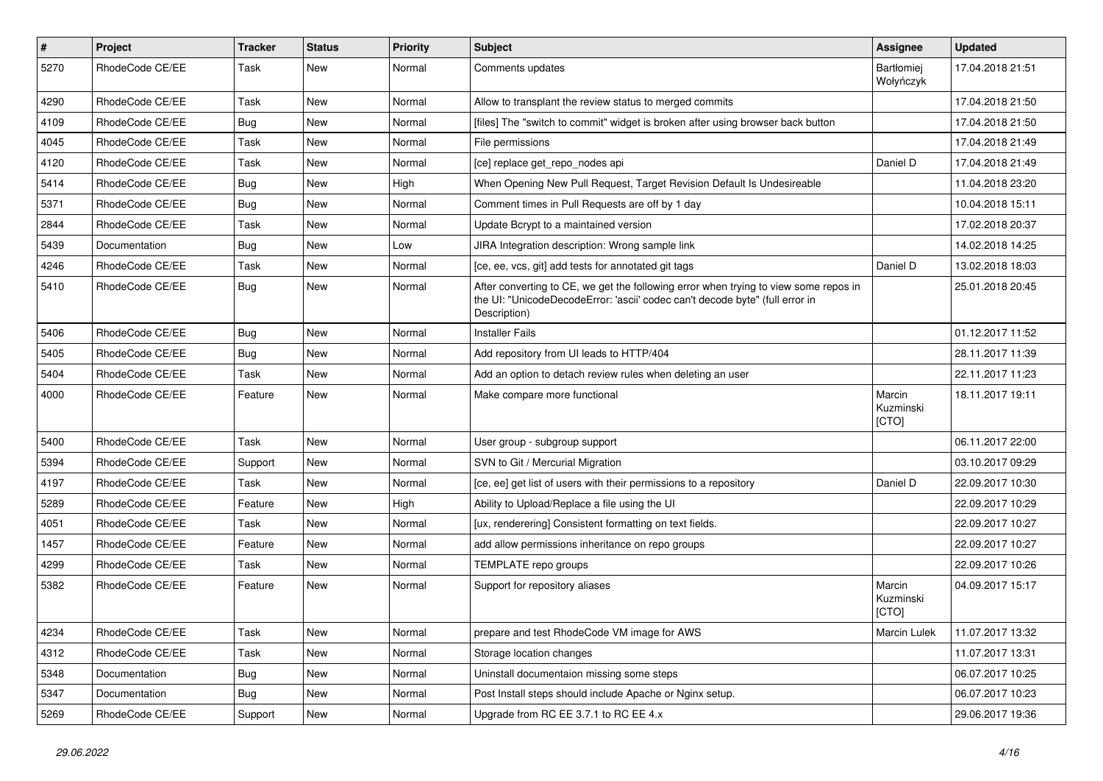| #    | Project         | <b>Tracker</b> | <b>Status</b> | <b>Priority</b> | <b>Subject</b>                                                                                                                                                                       | <b>Assignee</b>                | <b>Updated</b>   |
|------|-----------------|----------------|---------------|-----------------|--------------------------------------------------------------------------------------------------------------------------------------------------------------------------------------|--------------------------------|------------------|
| 5270 | RhodeCode CE/EE | Task           | New           | Normal          | Comments updates                                                                                                                                                                     | <b>Bartłomiej</b><br>Wołyńczyk | 17.04.2018 21:51 |
| 4290 | RhodeCode CE/EE | Task           | <b>New</b>    | Normal          | Allow to transplant the review status to merged commits                                                                                                                              |                                | 17.04.2018 21:50 |
| 4109 | RhodeCode CE/EE | Bug            | <b>New</b>    | Normal          | [files] The "switch to commit" widget is broken after using browser back button                                                                                                      |                                | 17.04.2018 21:50 |
| 4045 | RhodeCode CE/EE | Task           | <b>New</b>    | Normal          | File permissions                                                                                                                                                                     |                                | 17.04.2018 21:49 |
| 4120 | RhodeCode CE/EE | Task           | New           | Normal          | [ce] replace get repo nodes api                                                                                                                                                      | Daniel D                       | 17.04.2018 21:49 |
| 5414 | RhodeCode CE/EE | Bug            | <b>New</b>    | High            | When Opening New Pull Request, Target Revision Default Is Undesireable                                                                                                               |                                | 11.04.2018 23:20 |
| 5371 | RhodeCode CE/EE | Bug            | New           | Normal          | Comment times in Pull Requests are off by 1 day                                                                                                                                      |                                | 10.04.2018 15:11 |
| 2844 | RhodeCode CE/EE | Task           | New           | Normal          | Update Bcrypt to a maintained version                                                                                                                                                |                                | 17.02.2018 20:37 |
| 5439 | Documentation   | Bug            | <b>New</b>    | Low             | JIRA Integration description: Wrong sample link                                                                                                                                      |                                | 14.02.2018 14:25 |
| 4246 | RhodeCode CE/EE | Task           | New           | Normal          | [ce, ee, vcs, git] add tests for annotated git tags                                                                                                                                  | Daniel D                       | 13.02.2018 18:03 |
| 5410 | RhodeCode CE/EE | Bug            | New           | Normal          | After converting to CE, we get the following error when trying to view some repos in<br>the UI: "UnicodeDecodeError: 'ascii' codec can't decode byte" (full error in<br>Description) |                                | 25.01.2018 20:45 |
| 5406 | RhodeCode CE/EE | Bug            | <b>New</b>    | Normal          | <b>Installer Fails</b>                                                                                                                                                               |                                | 01.12.2017 11:52 |
| 5405 | RhodeCode CE/EE | Bug            | New           | Normal          | Add repository from UI leads to HTTP/404                                                                                                                                             |                                | 28.11.2017 11:39 |
| 5404 | RhodeCode CE/EE | Task           | <b>New</b>    | Normal          | Add an option to detach review rules when deleting an user                                                                                                                           |                                | 22.11.2017 11:23 |
| 4000 | RhodeCode CE/EE | Feature        | <b>New</b>    | Normal          | Make compare more functional                                                                                                                                                         | Marcin<br>Kuzminski<br>[CTO]   | 18.11.2017 19:11 |
| 5400 | RhodeCode CE/EE | Task           | <b>New</b>    | Normal          | User group - subgroup support                                                                                                                                                        |                                | 06.11.2017 22:00 |
| 5394 | RhodeCode CE/EE | Support        | New           | Normal          | SVN to Git / Mercurial Migration                                                                                                                                                     |                                | 03.10.2017 09:29 |
| 4197 | RhodeCode CE/EE | Task           | <b>New</b>    | Normal          | [ce, ee] get list of users with their permissions to a repository                                                                                                                    | Daniel D                       | 22.09.2017 10:30 |
| 5289 | RhodeCode CE/EE | Feature        | New           | High            | Ability to Upload/Replace a file using the UI                                                                                                                                        |                                | 22.09.2017 10:29 |
| 4051 | RhodeCode CE/EE | Task           | New           | Normal          | [ux, renderering] Consistent formatting on text fields.                                                                                                                              |                                | 22.09.2017 10:27 |
| 1457 | RhodeCode CE/EE | Feature        | <b>New</b>    | Normal          | add allow permissions inheritance on repo groups                                                                                                                                     |                                | 22.09.2017 10:27 |
| 4299 | RhodeCode CE/EE | Task           | New           | Normal          | TEMPLATE repo groups                                                                                                                                                                 |                                | 22.09.2017 10:26 |
| 5382 | RhodeCode CE/EE | Feature        | New           | Normal          | Support for repository aliases                                                                                                                                                       | Marcin<br>Kuzminski<br>[CTO]   | 04.09.2017 15:17 |
| 4234 | RhodeCode CE/EE | Task           | New           | Normal          | prepare and test RhodeCode VM image for AWS                                                                                                                                          | <b>Marcin Lulek</b>            | 11.07.2017 13:32 |
| 4312 | RhodeCode CE/EE | Task           | New           | Normal          | Storage location changes                                                                                                                                                             |                                | 11.07.2017 13:31 |
| 5348 | Documentation   | Bug            | New           | Normal          | Uninstall documentaion missing some steps                                                                                                                                            |                                | 06.07.2017 10:25 |
| 5347 | Documentation   | Bug            | New           | Normal          | Post Install steps should include Apache or Nginx setup.                                                                                                                             |                                | 06.07.2017 10:23 |
| 5269 | RhodeCode CE/EE | Support        | New           | Normal          | Upgrade from RC EE 3.7.1 to RC EE 4.x                                                                                                                                                |                                | 29.06.2017 19:36 |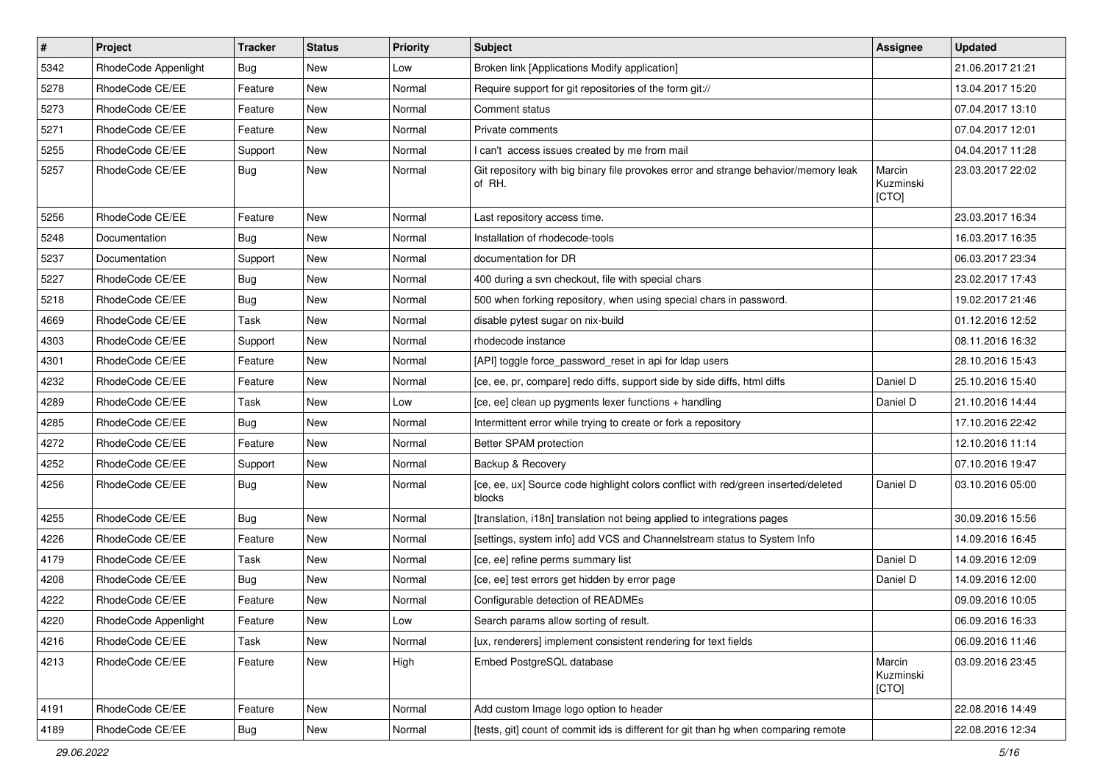| $\pmb{\#}$ | Project              | <b>Tracker</b> | <b>Status</b> | <b>Priority</b> | <b>Subject</b>                                                                                | Assignee                     | <b>Updated</b>   |
|------------|----------------------|----------------|---------------|-----------------|-----------------------------------------------------------------------------------------------|------------------------------|------------------|
| 5342       | RhodeCode Appenlight | Bug            | New           | Low             | Broken link [Applications Modify application]                                                 |                              | 21.06.2017 21:21 |
| 5278       | RhodeCode CE/EE      | Feature        | New           | Normal          | Require support for git repositories of the form git://                                       |                              | 13.04.2017 15:20 |
| 5273       | RhodeCode CE/EE      | Feature        | New           | Normal          | Comment status                                                                                |                              | 07.04.2017 13:10 |
| 5271       | RhodeCode CE/EE      | Feature        | New           | Normal          | Private comments                                                                              |                              | 07.04.2017 12:01 |
| 5255       | RhodeCode CE/EE      | Support        | <b>New</b>    | Normal          | I can't access issues created by me from mail                                                 |                              | 04.04.2017 11:28 |
| 5257       | RhodeCode CE/EE      | Bug            | New           | Normal          | Git repository with big binary file provokes error and strange behavior/memory leak<br>of RH. | Marcin<br>Kuzminski<br>[CTO] | 23.03.2017 22:02 |
| 5256       | RhodeCode CE/EE      | Feature        | <b>New</b>    | Normal          | Last repository access time.                                                                  |                              | 23.03.2017 16:34 |
| 5248       | Documentation        | Bug            | New           | Normal          | Installation of rhodecode-tools                                                               |                              | 16.03.2017 16:35 |
| 5237       | Documentation        | Support        | New           | Normal          | documentation for DR                                                                          |                              | 06.03.2017 23:34 |
| 5227       | RhodeCode CE/EE      | Bug            | New           | Normal          | 400 during a svn checkout, file with special chars                                            |                              | 23.02.2017 17:43 |
| 5218       | RhodeCode CE/EE      | Bug            | <b>New</b>    | Normal          | 500 when forking repository, when using special chars in password.                            |                              | 19.02.2017 21:46 |
| 4669       | RhodeCode CE/EE      | Task           | New           | Normal          | disable pytest sugar on nix-build                                                             |                              | 01.12.2016 12:52 |
| 4303       | RhodeCode CE/EE      | Support        | New           | Normal          | rhodecode instance                                                                            |                              | 08.11.2016 16:32 |
| 4301       | RhodeCode CE/EE      | Feature        | New           | Normal          | [API] toggle force password reset in api for Idap users                                       |                              | 28.10.2016 15:43 |
| 4232       | RhodeCode CE/EE      | Feature        | New           | Normal          | [ce, ee, pr, compare] redo diffs, support side by side diffs, html diffs                      | Daniel D                     | 25.10.2016 15:40 |
| 4289       | RhodeCode CE/EE      | <b>Task</b>    | <b>New</b>    | Low             | [ce, ee] clean up pygments lexer functions + handling                                         | Daniel D                     | 21.10.2016 14:44 |
| 4285       | RhodeCode CE/EE      | Bug            | New           | Normal          | Intermittent error while trying to create or fork a repository                                |                              | 17.10.2016 22:42 |
| 4272       | RhodeCode CE/EE      | Feature        | New           | Normal          | Better SPAM protection                                                                        |                              | 12.10.2016 11:14 |
| 4252       | RhodeCode CE/EE      | Support        | New           | Normal          | Backup & Recovery                                                                             |                              | 07.10.2016 19:47 |
| 4256       | RhodeCode CE/EE      | Bug            | New           | Normal          | [ce, ee, ux] Source code highlight colors conflict with red/green inserted/deleted<br>blocks  | Daniel D                     | 03.10.2016 05:00 |
| 4255       | RhodeCode CE/EE      | Bug            | New           | Normal          | [translation, i18n] translation not being applied to integrations pages                       |                              | 30.09.2016 15:56 |
| 4226       | RhodeCode CE/EE      | Feature        | New           | Normal          | [settings, system info] add VCS and Channelstream status to System Info                       |                              | 14.09.2016 16:45 |
| 4179       | RhodeCode CE/EE      | <b>Task</b>    | <b>New</b>    | Normal          | [ce, ee] refine perms summary list                                                            | Daniel D                     | 14.09.2016 12:09 |
| 4208       | RhodeCode CE/EE      | Bug            | New           | Normal          | [ce, ee] test errors get hidden by error page                                                 | Daniel D                     | 14.09.2016 12:00 |
| 4222       | RhodeCode CE/EE      | Feature        | New           | Normal          | Configurable detection of READMEs                                                             |                              | 09.09.2016 10:05 |
| 4220       | RhodeCode Appenlight | Feature        | New           | Low             | Search params allow sorting of result.                                                        |                              | 06.09.2016 16:33 |
| 4216       | RhodeCode CE/EE      | Task           | New           | Normal          | [ux, renderers] implement consistent rendering for text fields                                |                              | 06.09.2016 11:46 |
| 4213       | RhodeCode CE/EE      | Feature        | New           | High            | Embed PostgreSQL database                                                                     | Marcin<br>Kuzminski<br>[CTO] | 03.09.2016 23:45 |
| 4191       | RhodeCode CE/EE      | Feature        | New           | Normal          | Add custom Image logo option to header                                                        |                              | 22.08.2016 14:49 |
| 4189       | RhodeCode CE/EE      | <b>Bug</b>     | New           | Normal          | [tests, git] count of commit ids is different for git than hg when comparing remote           |                              | 22.08.2016 12:34 |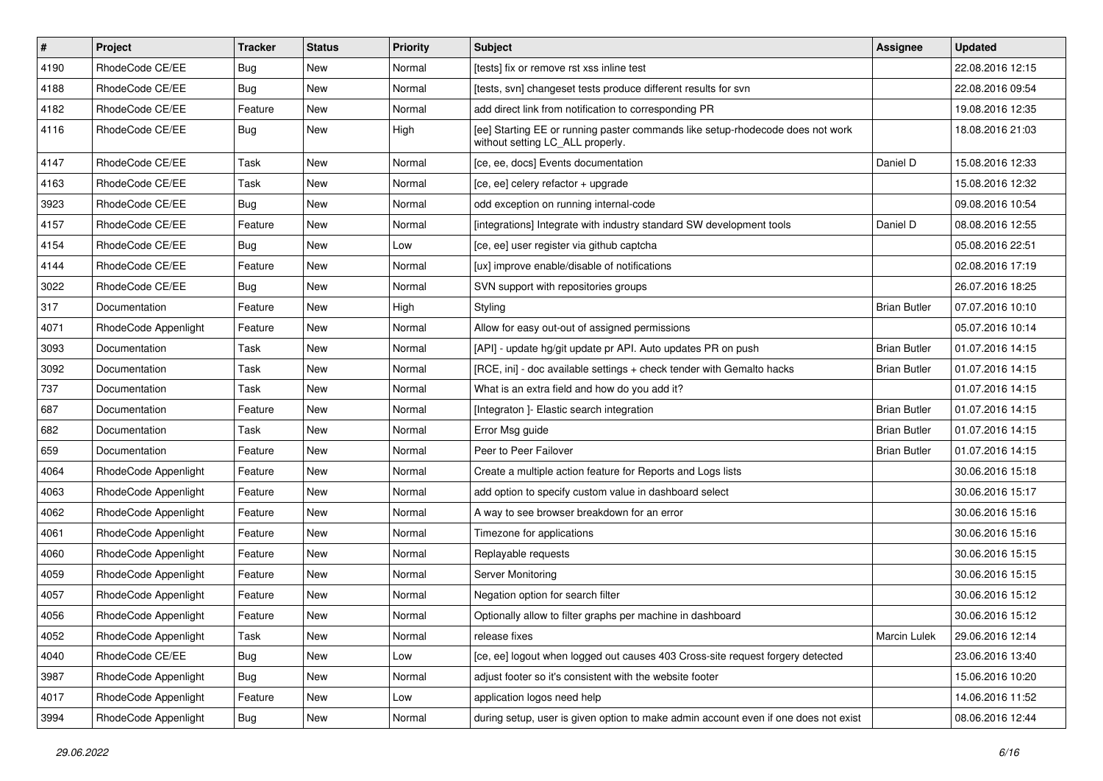| $\pmb{\#}$ | Project              | <b>Tracker</b> | <b>Status</b> | <b>Priority</b> | <b>Subject</b>                                                                                                     | Assignee            | <b>Updated</b>   |
|------------|----------------------|----------------|---------------|-----------------|--------------------------------------------------------------------------------------------------------------------|---------------------|------------------|
| 4190       | RhodeCode CE/EE      | Bug            | New           | Normal          | [tests] fix or remove rst xss inline test                                                                          |                     | 22.08.2016 12:15 |
| 4188       | RhodeCode CE/EE      | Bug            | <b>New</b>    | Normal          | [tests, svn] changeset tests produce different results for svn                                                     |                     | 22.08.2016 09:54 |
| 4182       | RhodeCode CE/EE      | Feature        | New           | Normal          | add direct link from notification to corresponding PR                                                              |                     | 19.08.2016 12:35 |
| 4116       | RhodeCode CE/EE      | Bug            | New           | High            | [ee] Starting EE or running paster commands like setup-rhodecode does not work<br>without setting LC_ALL properly. |                     | 18.08.2016 21:03 |
| 4147       | RhodeCode CE/EE      | Task           | New           | Normal          | [ce, ee, docs] Events documentation                                                                                | Daniel D            | 15.08.2016 12:33 |
| 4163       | RhodeCode CE/EE      | Task           | New           | Normal          | [ce, ee] celery refactor + upgrade                                                                                 |                     | 15.08.2016 12:32 |
| 3923       | RhodeCode CE/EE      | Bug            | New           | Normal          | odd exception on running internal-code                                                                             |                     | 09.08.2016 10:54 |
| 4157       | RhodeCode CE/EE      | Feature        | New           | Normal          | [integrations] Integrate with industry standard SW development tools                                               | Daniel D            | 08.08.2016 12:55 |
| 4154       | RhodeCode CE/EE      | Bug            | <b>New</b>    | Low             | [ce, ee] user register via github captcha                                                                          |                     | 05.08.2016 22:51 |
| 4144       | RhodeCode CE/EE      | Feature        | New           | Normal          | [ux] improve enable/disable of notifications                                                                       |                     | 02.08.2016 17:19 |
| 3022       | RhodeCode CE/EE      | Bug            | New           | Normal          | SVN support with repositories groups                                                                               |                     | 26.07.2016 18:25 |
| 317        | Documentation        | Feature        | <b>New</b>    | High            | Styling                                                                                                            | <b>Brian Butler</b> | 07.07.2016 10:10 |
| 4071       | RhodeCode Appenlight | Feature        | New           | Normal          | Allow for easy out-out of assigned permissions                                                                     |                     | 05.07.2016 10:14 |
| 3093       | Documentation        | Task           | New           | Normal          | [API] - update hg/git update pr API. Auto updates PR on push                                                       | <b>Brian Butler</b> | 01.07.2016 14:15 |
| 3092       | Documentation        | Task           | New           | Normal          | [RCE, ini] - doc available settings + check tender with Gemalto hacks                                              | <b>Brian Butler</b> | 01.07.2016 14:15 |
| 737        | Documentation        | Task           | New           | Normal          | What is an extra field and how do you add it?                                                                      |                     | 01.07.2016 14:15 |
| 687        | Documentation        | Feature        | <b>New</b>    | Normal          | [Integraton] - Elastic search integration                                                                          | <b>Brian Butler</b> | 01.07.2016 14:15 |
| 682        | Documentation        | Task           | New           | Normal          | Error Msg guide                                                                                                    | <b>Brian Butler</b> | 01.07.2016 14:15 |
| 659        | Documentation        | Feature        | New           | Normal          | Peer to Peer Failover                                                                                              | <b>Brian Butler</b> | 01.07.2016 14:15 |
| 4064       | RhodeCode Appenlight | Feature        | New           | Normal          | Create a multiple action feature for Reports and Logs lists                                                        |                     | 30.06.2016 15:18 |
| 4063       | RhodeCode Appenlight | Feature        | New           | Normal          | add option to specify custom value in dashboard select                                                             |                     | 30.06.2016 15:17 |
| 4062       | RhodeCode Appenlight | Feature        | <b>New</b>    | Normal          | A way to see browser breakdown for an error                                                                        |                     | 30.06.2016 15:16 |
| 4061       | RhodeCode Appenlight | Feature        | New           | Normal          | Timezone for applications                                                                                          |                     | 30.06.2016 15:16 |
| 4060       | RhodeCode Appenlight | Feature        | New           | Normal          | Replayable requests                                                                                                |                     | 30.06.2016 15:15 |
| 4059       | RhodeCode Appenlight | Feature        | <b>New</b>    | Normal          | Server Monitoring                                                                                                  |                     | 30.06.2016 15:15 |
| 4057       | RhodeCode Appenlight | Feature        | New           | Normal          | Negation option for search filter                                                                                  |                     | 30.06.2016 15:12 |
| 4056       | RhodeCode Appenlight | Feature        | New           | Normal          | Optionally allow to filter graphs per machine in dashboard                                                         |                     | 30.06.2016 15:12 |
| 4052       | RhodeCode Appenlight | Task           | New           | Normal          | release fixes                                                                                                      | Marcin Lulek        | 29.06.2016 12:14 |
| 4040       | RhodeCode CE/EE      | Bug            | New           | Low             | [ce, ee] logout when logged out causes 403 Cross-site request forgery detected                                     |                     | 23.06.2016 13:40 |
| 3987       | RhodeCode Appenlight | <b>Bug</b>     | New           | Normal          | adjust footer so it's consistent with the website footer                                                           |                     | 15.06.2016 10:20 |
| 4017       | RhodeCode Appenlight | Feature        | New           | Low             | application logos need help                                                                                        |                     | 14.06.2016 11:52 |
| 3994       | RhodeCode Appenlight | <b>Bug</b>     | New           | Normal          | during setup, user is given option to make admin account even if one does not exist                                |                     | 08.06.2016 12:44 |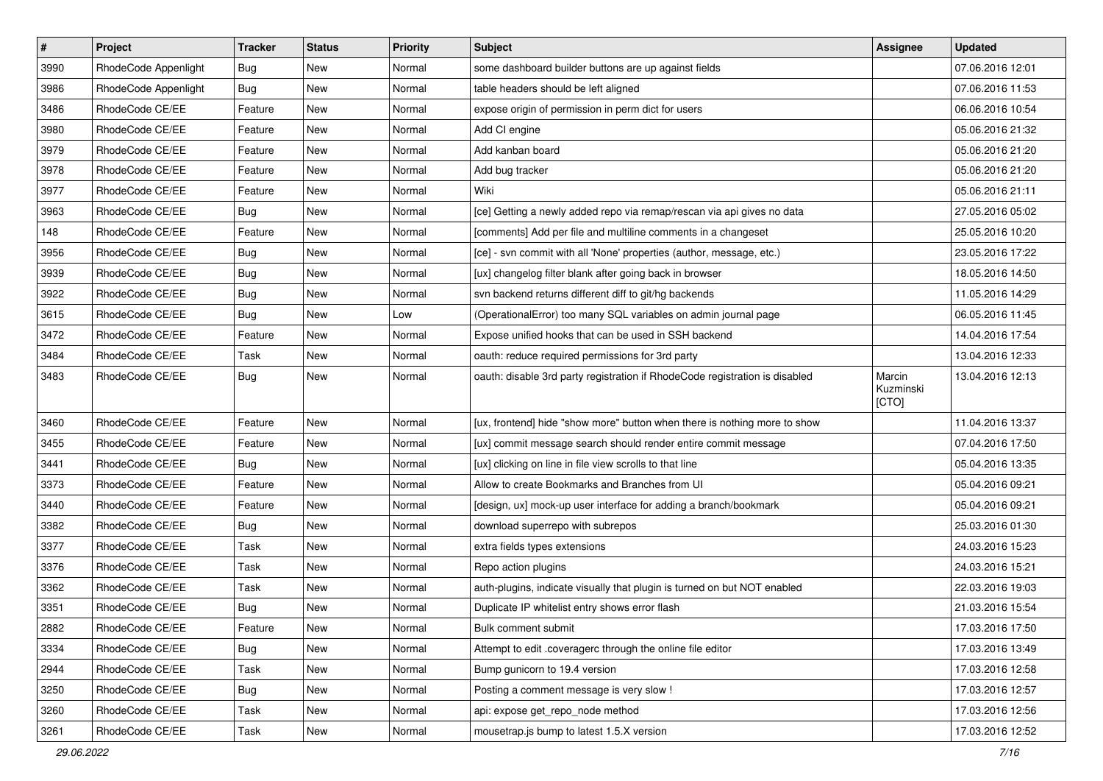| $\sharp$ | Project              | <b>Tracker</b> | <b>Status</b> | Priority | <b>Subject</b>                                                              | <b>Assignee</b>              | <b>Updated</b>   |
|----------|----------------------|----------------|---------------|----------|-----------------------------------------------------------------------------|------------------------------|------------------|
| 3990     | RhodeCode Appenlight | <b>Bug</b>     | New           | Normal   | some dashboard builder buttons are up against fields                        |                              | 07.06.2016 12:01 |
| 3986     | RhodeCode Appenlight | Bug            | <b>New</b>    | Normal   | table headers should be left aligned                                        |                              | 07.06.2016 11:53 |
| 3486     | RhodeCode CE/EE      | Feature        | New           | Normal   | expose origin of permission in perm dict for users                          |                              | 06.06.2016 10:54 |
| 3980     | RhodeCode CE/EE      | Feature        | New           | Normal   | Add CI engine                                                               |                              | 05.06.2016 21:32 |
| 3979     | RhodeCode CE/EE      | Feature        | <b>New</b>    | Normal   | Add kanban board                                                            |                              | 05.06.2016 21:20 |
| 3978     | RhodeCode CE/EE      | Feature        | New           | Normal   | Add bug tracker                                                             |                              | 05.06.2016 21:20 |
| 3977     | RhodeCode CE/EE      | Feature        | New           | Normal   | Wiki                                                                        |                              | 05.06.2016 21:11 |
| 3963     | RhodeCode CE/EE      | Bug            | New           | Normal   | [ce] Getting a newly added repo via remap/rescan via api gives no data      |                              | 27.05.2016 05:02 |
| 148      | RhodeCode CE/EE      | Feature        | <b>New</b>    | Normal   | [comments] Add per file and multiline comments in a changeset               |                              | 25.05.2016 10:20 |
| 3956     | RhodeCode CE/EE      | <b>Bug</b>     | <b>New</b>    | Normal   | [ce] - svn commit with all 'None' properties (author, message, etc.)        |                              | 23.05.2016 17:22 |
| 3939     | RhodeCode CE/EE      | Bug            | New           | Normal   | [ux] changelog filter blank after going back in browser                     |                              | 18.05.2016 14:50 |
| 3922     | RhodeCode CE/EE      | Bug            | New           | Normal   | syn backend returns different diff to git/hg backends                       |                              | 11.05.2016 14:29 |
| 3615     | RhodeCode CE/EE      | <b>Bug</b>     | <b>New</b>    | Low      | (OperationalError) too many SQL variables on admin journal page             |                              | 06.05.2016 11:45 |
| 3472     | RhodeCode CE/EE      | Feature        | <b>New</b>    | Normal   | Expose unified hooks that can be used in SSH backend                        |                              | 14.04.2016 17:54 |
| 3484     | RhodeCode CE/EE      | Task           | New           | Normal   | oauth: reduce required permissions for 3rd party                            |                              | 13.04.2016 12:33 |
| 3483     | RhodeCode CE/EE      | Bug            | New           | Normal   | oauth: disable 3rd party registration if RhodeCode registration is disabled | Marcin<br>Kuzminski<br>[CTO] | 13.04.2016 12:13 |
| 3460     | RhodeCode CE/EE      | Feature        | <b>New</b>    | Normal   | [ux, frontend] hide "show more" button when there is nothing more to show   |                              | 11.04.2016 13:37 |
| 3455     | RhodeCode CE/EE      | Feature        | New           | Normal   | [ux] commit message search should render entire commit message              |                              | 07.04.2016 17:50 |
| 3441     | RhodeCode CE/EE      | Bug            | <b>New</b>    | Normal   | [ux] clicking on line in file view scrolls to that line                     |                              | 05.04.2016 13:35 |
| 3373     | RhodeCode CE/EE      | Feature        | <b>New</b>    | Normal   | Allow to create Bookmarks and Branches from UI                              |                              | 05.04.2016 09:21 |
| 3440     | RhodeCode CE/EE      | Feature        | New           | Normal   | [design, ux] mock-up user interface for adding a branch/bookmark            |                              | 05.04.2016 09:21 |
| 3382     | RhodeCode CE/EE      | Bug            | New           | Normal   | download superrepo with subrepos                                            |                              | 25.03.2016 01:30 |
| 3377     | RhodeCode CE/EE      | Task           | New           | Normal   | extra fields types extensions                                               |                              | 24.03.2016 15:23 |
| 3376     | RhodeCode CE/EE      | Task           | <b>New</b>    | Normal   | Repo action plugins                                                         |                              | 24.03.2016 15:21 |
| 3362     | RhodeCode CE/EE      | Task           | New           | Normal   | auth-plugins, indicate visually that plugin is turned on but NOT enabled    |                              | 22.03.2016 19:03 |
| 3351     | RhodeCode CE/EE      | Bug            | New           | Normal   | Duplicate IP whitelist entry shows error flash                              |                              | 21.03.2016 15:54 |
| 2882     | RhodeCode CE/EE      | Feature        | New           | Normal   | Bulk comment submit                                                         |                              | 17.03.2016 17:50 |
| 3334     | RhodeCode CE/EE      | Bug            | New           | Normal   | Attempt to edit .coveragerc through the online file editor                  |                              | 17.03.2016 13:49 |
| 2944     | RhodeCode CE/EE      | Task           | New           | Normal   | Bump gunicorn to 19.4 version                                               |                              | 17.03.2016 12:58 |
| 3250     | RhodeCode CE/EE      | Bug            | New           | Normal   | Posting a comment message is very slow !                                    |                              | 17.03.2016 12:57 |
| 3260     | RhodeCode CE/EE      | Task           | New           | Normal   | api: expose get_repo_node method                                            |                              | 17.03.2016 12:56 |
| 3261     | RhodeCode CE/EE      | Task           | New           | Normal   | mousetrap.js bump to latest 1.5.X version                                   |                              | 17.03.2016 12:52 |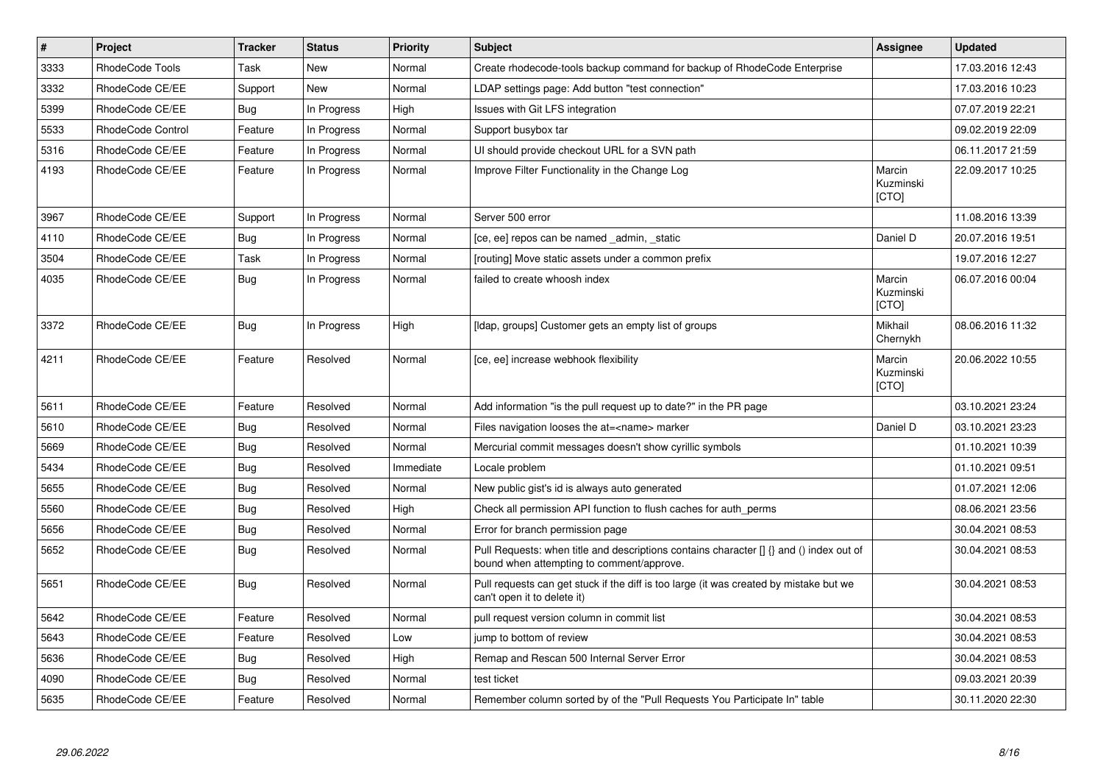| $\vert$ # | Project                  | <b>Tracker</b> | <b>Status</b> | <b>Priority</b> | <b>Subject</b>                                                                                                                       | Assignee                     | <b>Updated</b>   |
|-----------|--------------------------|----------------|---------------|-----------------|--------------------------------------------------------------------------------------------------------------------------------------|------------------------------|------------------|
| 3333      | RhodeCode Tools          | Task           | <b>New</b>    | Normal          | Create rhodecode-tools backup command for backup of RhodeCode Enterprise                                                             |                              | 17.03.2016 12:43 |
| 3332      | RhodeCode CE/EE          | Support        | <b>New</b>    | Normal          | LDAP settings page: Add button "test connection"                                                                                     |                              | 17.03.2016 10:23 |
| 5399      | RhodeCode CE/EE          | Bug            | In Progress   | High            | Issues with Git LFS integration                                                                                                      |                              | 07.07.2019 22:21 |
| 5533      | <b>RhodeCode Control</b> | Feature        | In Progress   | Normal          | Support busybox tar                                                                                                                  |                              | 09.02.2019 22:09 |
| 5316      | RhodeCode CE/EE          | Feature        | In Progress   | Normal          | UI should provide checkout URL for a SVN path                                                                                        |                              | 06.11.2017 21:59 |
| 4193      | RhodeCode CE/EE          | Feature        | In Progress   | Normal          | Improve Filter Functionality in the Change Log                                                                                       | Marcin<br>Kuzminski<br>[CTO] | 22.09.2017 10:25 |
| 3967      | RhodeCode CE/EE          | Support        | In Progress   | Normal          | Server 500 error                                                                                                                     |                              | 11.08.2016 13:39 |
| 4110      | RhodeCode CE/EE          | <b>Bug</b>     | In Progress   | Normal          | [ce, ee] repos can be named _admin, _static                                                                                          | Daniel D                     | 20.07.2016 19:51 |
| 3504      | RhodeCode CE/EE          | Task           | In Progress   | Normal          | [routing] Move static assets under a common prefix                                                                                   |                              | 19.07.2016 12:27 |
| 4035      | RhodeCode CE/EE          | Bug            | In Progress   | Normal          | failed to create whoosh index                                                                                                        | Marcin<br>Kuzminski<br>[CTO] | 06.07.2016 00:04 |
| 3372      | RhodeCode CE/EE          | Bug            | In Progress   | High            | [Idap, groups] Customer gets an empty list of groups                                                                                 | Mikhail<br>Chernykh          | 08.06.2016 11:32 |
| 4211      | RhodeCode CE/EE          | Feature        | Resolved      | Normal          | [ce, ee] increase webhook flexibility                                                                                                | Marcin<br>Kuzminski<br>[CTO] | 20.06.2022 10:55 |
| 5611      | RhodeCode CE/EE          | Feature        | Resolved      | Normal          | Add information "is the pull request up to date?" in the PR page                                                                     |                              | 03.10.2021 23:24 |
| 5610      | RhodeCode CE/EE          | Bug            | Resolved      | Normal          | Files navigation looses the at= <name> marker</name>                                                                                 | Daniel D                     | 03.10.2021 23:23 |
| 5669      | RhodeCode CE/EE          | Bug            | Resolved      | Normal          | Mercurial commit messages doesn't show cyrillic symbols                                                                              |                              | 01.10.2021 10:39 |
| 5434      | RhodeCode CE/EE          | <b>Bug</b>     | Resolved      | Immediate       | Locale problem                                                                                                                       |                              | 01.10.2021 09:51 |
| 5655      | RhodeCode CE/EE          | Bug            | Resolved      | Normal          | New public gist's id is always auto generated                                                                                        |                              | 01.07.2021 12:06 |
| 5560      | RhodeCode CE/EE          | <b>Bug</b>     | Resolved      | High            | Check all permission API function to flush caches for auth perms                                                                     |                              | 08.06.2021 23:56 |
| 5656      | RhodeCode CE/EE          | <b>Bug</b>     | Resolved      | Normal          | Error for branch permission page                                                                                                     |                              | 30.04.2021 08:53 |
| 5652      | RhodeCode CE/EE          | Bug            | Resolved      | Normal          | Pull Requests: when title and descriptions contains character [] {} and () index out of<br>bound when attempting to comment/approve. |                              | 30.04.2021 08:53 |
| 5651      | RhodeCode CE/EE          | Bug            | Resolved      | Normal          | Pull requests can get stuck if the diff is too large (it was created by mistake but we<br>can't open it to delete it)                |                              | 30.04.2021 08:53 |
| 5642      | RhodeCode CE/EE          | Feature        | Resolved      | Normal          | pull request version column in commit list                                                                                           |                              | 30.04.2021 08:53 |
| 5643      | RhodeCode CE/EE          | Feature        | Resolved      | Low             | jump to bottom of review                                                                                                             |                              | 30.04.2021 08:53 |
| 5636      | RhodeCode CE/EE          | Bug            | Resolved      | High            | Remap and Rescan 500 Internal Server Error                                                                                           |                              | 30.04.2021 08:53 |
| 4090      | RhodeCode CE/EE          | Bug            | Resolved      | Normal          | test ticket                                                                                                                          |                              | 09.03.2021 20:39 |
| 5635      | RhodeCode CE/EE          | Feature        | Resolved      | Normal          | Remember column sorted by of the "Pull Requests You Participate In" table                                                            |                              | 30.11.2020 22:30 |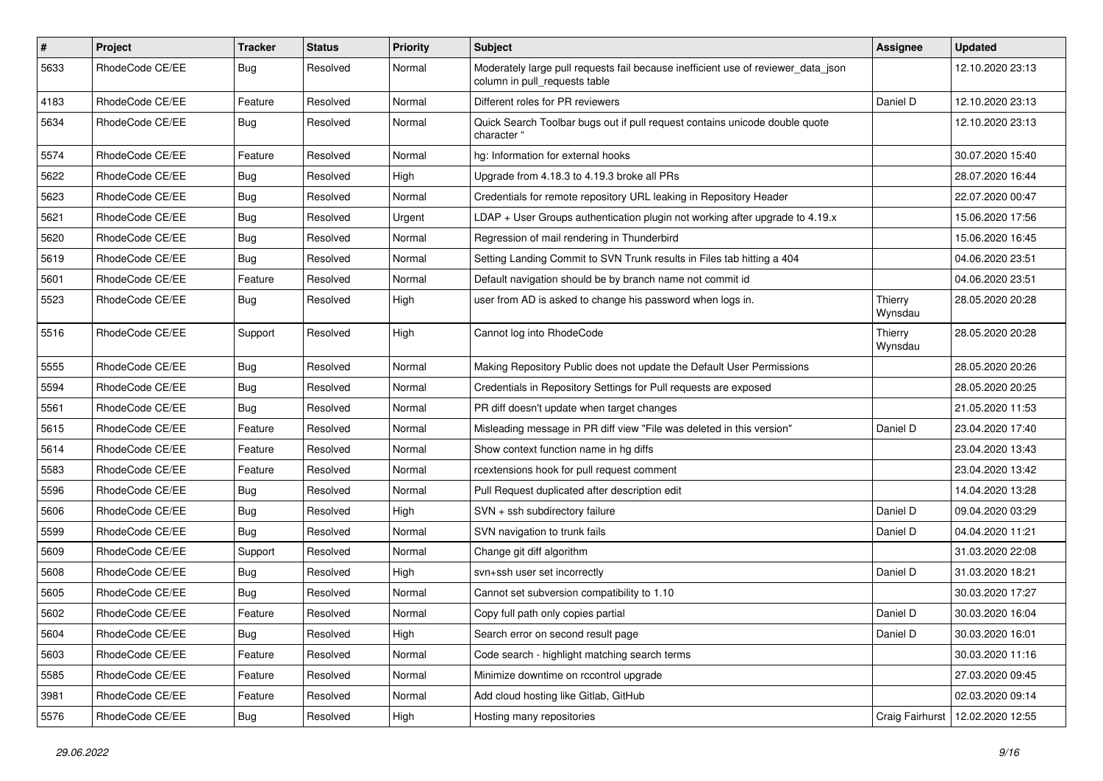| $\pmb{\#}$ | <b>Project</b>  | <b>Tracker</b> | <b>Status</b> | <b>Priority</b> | <b>Subject</b>                                                                                                     | Assignee           | <b>Updated</b>   |
|------------|-----------------|----------------|---------------|-----------------|--------------------------------------------------------------------------------------------------------------------|--------------------|------------------|
| 5633       | RhodeCode CE/EE | Bug            | Resolved      | Normal          | Moderately large pull requests fail because inefficient use of reviewer_data_json<br>column in pull requests table |                    | 12.10.2020 23:13 |
| 4183       | RhodeCode CE/EE | Feature        | Resolved      | Normal          | Different roles for PR reviewers                                                                                   | Daniel D           | 12.10.2020 23:13 |
| 5634       | RhodeCode CE/EE | <b>Bug</b>     | Resolved      | Normal          | Quick Search Toolbar bugs out if pull request contains unicode double quote<br>character "                         |                    | 12.10.2020 23:13 |
| 5574       | RhodeCode CE/EE | Feature        | Resolved      | Normal          | hg: Information for external hooks                                                                                 |                    | 30.07.2020 15:40 |
| 5622       | RhodeCode CE/EE | Bug            | Resolved      | High            | Upgrade from 4.18.3 to 4.19.3 broke all PRs                                                                        |                    | 28.07.2020 16:44 |
| 5623       | RhodeCode CE/EE | Bug            | Resolved      | Normal          | Credentials for remote repository URL leaking in Repository Header                                                 |                    | 22.07.2020 00:47 |
| 5621       | RhodeCode CE/EE | Bug            | Resolved      | Urgent          | LDAP + User Groups authentication plugin not working after upgrade to 4.19.x                                       |                    | 15.06.2020 17:56 |
| 5620       | RhodeCode CE/EE | <b>Bug</b>     | Resolved      | Normal          | Regression of mail rendering in Thunderbird                                                                        |                    | 15.06.2020 16:45 |
| 5619       | RhodeCode CE/EE | Bug            | Resolved      | Normal          | Setting Landing Commit to SVN Trunk results in Files tab hitting a 404                                             |                    | 04.06.2020 23:51 |
| 5601       | RhodeCode CE/EE | Feature        | Resolved      | Normal          | Default navigation should be by branch name not commit id                                                          |                    | 04.06.2020 23:51 |
| 5523       | RhodeCode CE/EE | Bug            | Resolved      | High            | user from AD is asked to change his password when logs in.                                                         | Thierry<br>Wynsdau | 28.05.2020 20:28 |
| 5516       | RhodeCode CE/EE | Support        | Resolved      | High            | Cannot log into RhodeCode                                                                                          | Thierry<br>Wynsdau | 28.05.2020 20:28 |
| 5555       | RhodeCode CE/EE | Bug            | Resolved      | Normal          | Making Repository Public does not update the Default User Permissions                                              |                    | 28.05.2020 20:26 |
| 5594       | RhodeCode CE/EE | Bug            | Resolved      | Normal          | Credentials in Repository Settings for Pull requests are exposed                                                   |                    | 28.05.2020 20:25 |
| 5561       | RhodeCode CE/EE | Bug            | Resolved      | Normal          | PR diff doesn't update when target changes                                                                         |                    | 21.05.2020 11:53 |
| 5615       | RhodeCode CE/EE | Feature        | Resolved      | Normal          | Misleading message in PR diff view "File was deleted in this version"                                              | Daniel D           | 23.04.2020 17:40 |
| 5614       | RhodeCode CE/EE | Feature        | Resolved      | Normal          | Show context function name in hg diffs                                                                             |                    | 23.04.2020 13:43 |
| 5583       | RhodeCode CE/EE | Feature        | Resolved      | Normal          | rcextensions hook for pull request comment                                                                         |                    | 23.04.2020 13:42 |
| 5596       | RhodeCode CE/EE | <b>Bug</b>     | Resolved      | Normal          | Pull Request duplicated after description edit                                                                     |                    | 14.04.2020 13:28 |
| 5606       | RhodeCode CE/EE | Bug            | Resolved      | High            | SVN + ssh subdirectory failure                                                                                     | Daniel D           | 09.04.2020 03:29 |
| 5599       | RhodeCode CE/EE | <b>Bug</b>     | Resolved      | Normal          | SVN navigation to trunk fails                                                                                      | Daniel D           | 04.04.2020 11:21 |
| 5609       | RhodeCode CE/EE | Support        | Resolved      | Normal          | Change git diff algorithm                                                                                          |                    | 31.03.2020 22:08 |
| 5608       | RhodeCode CE/EE | Bug            | Resolved      | High            | svn+ssh user set incorrectly                                                                                       | Daniel D           | 31.03.2020 18:21 |
| 5605       | RhodeCode CE/EE | <b>Bug</b>     | Resolved      | Normal          | Cannot set subversion compatibility to 1.10                                                                        |                    | 30.03.2020 17:27 |
| 5602       | RhodeCode CE/EE | Feature        | Resolved      | Normal          | Copy full path only copies partial                                                                                 | Daniel D           | 30.03.2020 16:04 |
| 5604       | RhodeCode CE/EE | <b>Bug</b>     | Resolved      | High            | Search error on second result page                                                                                 | Daniel D           | 30.03.2020 16:01 |
| 5603       | RhodeCode CE/EE | Feature        | Resolved      | Normal          | Code search - highlight matching search terms                                                                      |                    | 30.03.2020 11:16 |
| 5585       | RhodeCode CE/EE | Feature        | Resolved      | Normal          | Minimize downtime on rccontrol upgrade                                                                             |                    | 27.03.2020 09:45 |
| 3981       | RhodeCode CE/EE | Feature        | Resolved      | Normal          | Add cloud hosting like Gitlab, GitHub                                                                              |                    | 02.03.2020 09:14 |
| 5576       | RhodeCode CE/EE | Bug            | Resolved      | High            | Hosting many repositories                                                                                          | Craig Fairhurst    | 12.02.2020 12:55 |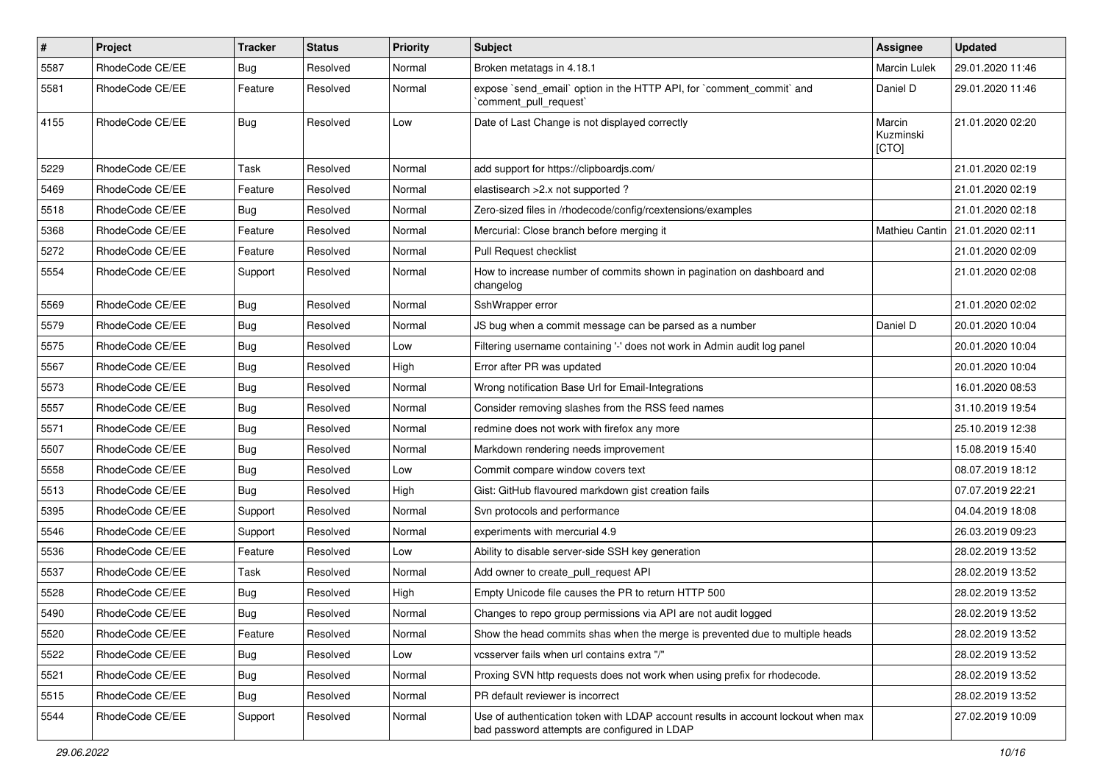| $\pmb{\#}$ | <b>Project</b>  | <b>Tracker</b> | <b>Status</b> | <b>Priority</b> | Subject                                                                                                                           | Assignee                     | <b>Updated</b>                    |
|------------|-----------------|----------------|---------------|-----------------|-----------------------------------------------------------------------------------------------------------------------------------|------------------------------|-----------------------------------|
| 5587       | RhodeCode CE/EE | <b>Bug</b>     | Resolved      | Normal          | Broken metatags in 4.18.1                                                                                                         | Marcin Lulek                 | 29.01.2020 11:46                  |
| 5581       | RhodeCode CE/EE | Feature        | Resolved      | Normal          | expose `send_email` option in the HTTP API, for `comment_commit` and<br>`comment_pull_request`                                    | Daniel D                     | 29.01.2020 11:46                  |
| 4155       | RhodeCode CE/EE | <b>Bug</b>     | Resolved      | Low             | Date of Last Change is not displayed correctly                                                                                    | Marcin<br>Kuzminski<br>[CTO] | 21.01.2020 02:20                  |
| 5229       | RhodeCode CE/EE | Task           | Resolved      | Normal          | add support for https://clipboardjs.com/                                                                                          |                              | 21.01.2020 02:19                  |
| 5469       | RhodeCode CE/EE | Feature        | Resolved      | Normal          | elastisearch > 2.x not supported ?                                                                                                |                              | 21.01.2020 02:19                  |
| 5518       | RhodeCode CE/EE | Bug            | Resolved      | Normal          | Zero-sized files in /rhodecode/config/rcextensions/examples                                                                       |                              | 21.01.2020 02:18                  |
| 5368       | RhodeCode CE/EE | Feature        | Resolved      | Normal          | Mercurial: Close branch before merging it                                                                                         |                              | Mathieu Cantin   21.01.2020 02:11 |
| 5272       | RhodeCode CE/EE | Feature        | Resolved      | Normal          | Pull Request checklist                                                                                                            |                              | 21.01.2020 02:09                  |
| 5554       | RhodeCode CE/EE | Support        | Resolved      | Normal          | How to increase number of commits shown in pagination on dashboard and<br>changelog                                               |                              | 21.01.2020 02:08                  |
| 5569       | RhodeCode CE/EE | Bug            | Resolved      | Normal          | SshWrapper error                                                                                                                  |                              | 21.01.2020 02:02                  |
| 5579       | RhodeCode CE/EE | Bug            | Resolved      | Normal          | JS bug when a commit message can be parsed as a number                                                                            | Daniel D                     | 20.01.2020 10:04                  |
| 5575       | RhodeCode CE/EE | Bug            | Resolved      | Low             | Filtering username containing '-' does not work in Admin audit log panel                                                          |                              | 20.01.2020 10:04                  |
| 5567       | RhodeCode CE/EE | Bug            | Resolved      | High            | Error after PR was updated                                                                                                        |                              | 20.01.2020 10:04                  |
| 5573       | RhodeCode CE/EE | Bug            | Resolved      | Normal          | Wrong notification Base Url for Email-Integrations                                                                                |                              | 16.01.2020 08:53                  |
| 5557       | RhodeCode CE/EE | Bug            | Resolved      | Normal          | Consider removing slashes from the RSS feed names                                                                                 |                              | 31.10.2019 19:54                  |
| 5571       | RhodeCode CE/EE | <b>Bug</b>     | Resolved      | Normal          | redmine does not work with firefox any more                                                                                       |                              | 25.10.2019 12:38                  |
| 5507       | RhodeCode CE/EE | Bug            | Resolved      | Normal          | Markdown rendering needs improvement                                                                                              |                              | 15.08.2019 15:40                  |
| 5558       | RhodeCode CE/EE | Bug            | Resolved      | Low             | Commit compare window covers text                                                                                                 |                              | 08.07.2019 18:12                  |
| 5513       | RhodeCode CE/EE | <b>Bug</b>     | Resolved      | High            | Gist: GitHub flavoured markdown gist creation fails                                                                               |                              | 07.07.2019 22:21                  |
| 5395       | RhodeCode CE/EE | Support        | Resolved      | Normal          | Svn protocols and performance                                                                                                     |                              | 04.04.2019 18:08                  |
| 5546       | RhodeCode CE/EE | Support        | Resolved      | Normal          | experiments with mercurial 4.9                                                                                                    |                              | 26.03.2019 09:23                  |
| 5536       | RhodeCode CE/EE | Feature        | Resolved      | Low             | Ability to disable server-side SSH key generation                                                                                 |                              | 28.02.2019 13:52                  |
| 5537       | RhodeCode CE/EE | Task           | Resolved      | Normal          | Add owner to create_pull_request API                                                                                              |                              | 28.02.2019 13:52                  |
| 5528       | RhodeCode CE/EE | Bug            | Resolved      | High            | Empty Unicode file causes the PR to return HTTP 500                                                                               |                              | 28.02.2019 13:52                  |
| 5490       | RhodeCode CE/EE | <b>Bug</b>     | Resolved      | Normal          | Changes to repo group permissions via API are not audit logged                                                                    |                              | 28.02.2019 13:52                  |
| 5520       | RhodeCode CE/EE | Feature        | Resolved      | Normal          | Show the head commits shas when the merge is prevented due to multiple heads                                                      |                              | 28.02.2019 13:52                  |
| 5522       | RhodeCode CE/EE | Bug            | Resolved      | Low             | vcsserver fails when url contains extra "/"                                                                                       |                              | 28.02.2019 13:52                  |
| 5521       | RhodeCode CE/EE | <b>Bug</b>     | Resolved      | Normal          | Proxing SVN http requests does not work when using prefix for rhodecode.                                                          |                              | 28.02.2019 13:52                  |
| 5515       | RhodeCode CE/EE | <b>Bug</b>     | Resolved      | Normal          | PR default reviewer is incorrect                                                                                                  |                              | 28.02.2019 13:52                  |
| 5544       | RhodeCode CE/EE | Support        | Resolved      | Normal          | Use of authentication token with LDAP account results in account lockout when max<br>bad password attempts are configured in LDAP |                              | 27.02.2019 10:09                  |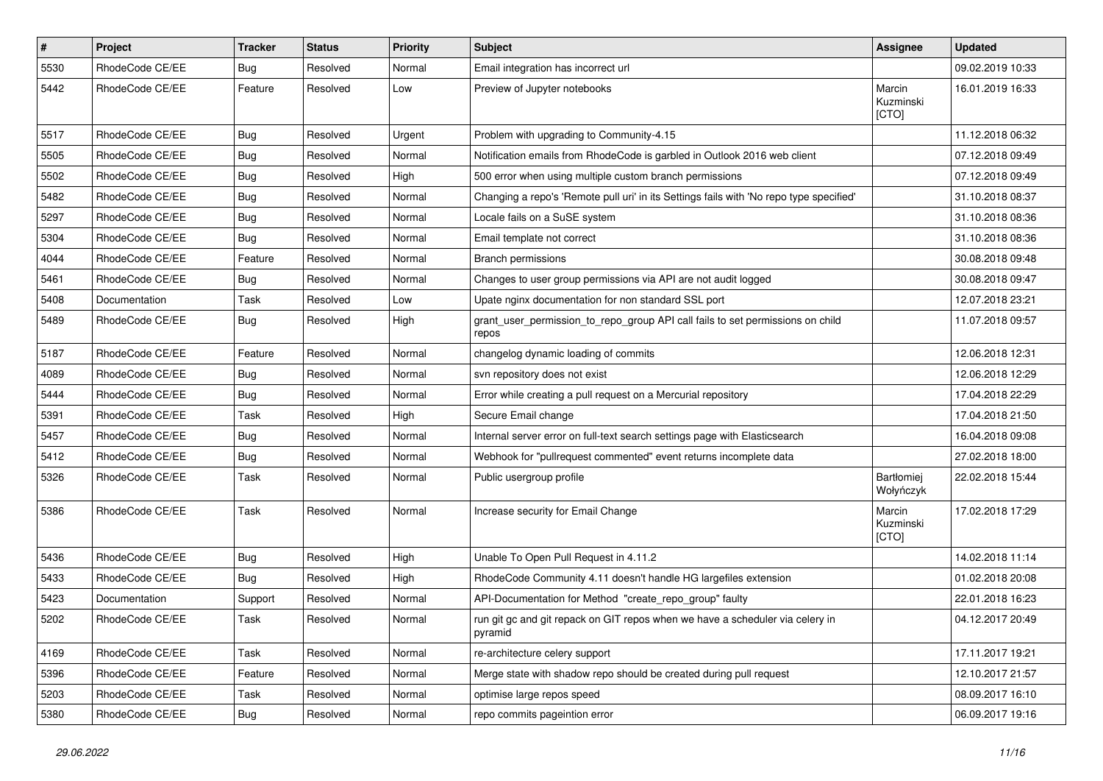| $\vert$ # | Project         | <b>Tracker</b> | <b>Status</b> | <b>Priority</b> | Subject                                                                                  | Assignee                     | <b>Updated</b>   |
|-----------|-----------------|----------------|---------------|-----------------|------------------------------------------------------------------------------------------|------------------------------|------------------|
| 5530      | RhodeCode CE/EE | <b>Bug</b>     | Resolved      | Normal          | Email integration has incorrect url                                                      |                              | 09.02.2019 10:33 |
| 5442      | RhodeCode CE/EE | Feature        | Resolved      | Low             | Preview of Jupyter notebooks                                                             | Marcin<br>Kuzminski<br>[CTO] | 16.01.2019 16:33 |
| 5517      | RhodeCode CE/EE | Bug            | Resolved      | Urgent          | Problem with upgrading to Community-4.15                                                 |                              | 11.12.2018 06:32 |
| 5505      | RhodeCode CE/EE | <b>Bug</b>     | Resolved      | Normal          | Notification emails from RhodeCode is garbled in Outlook 2016 web client                 |                              | 07.12.2018 09:49 |
| 5502      | RhodeCode CE/EE | Bug            | Resolved      | High            | 500 error when using multiple custom branch permissions                                  |                              | 07.12.2018 09:49 |
| 5482      | RhodeCode CE/EE | Bug            | Resolved      | Normal          | Changing a repo's 'Remote pull uri' in its Settings fails with 'No repo type specified'  |                              | 31.10.2018 08:37 |
| 5297      | RhodeCode CE/EE | <b>Bug</b>     | Resolved      | Normal          | Locale fails on a SuSE system                                                            |                              | 31.10.2018 08:36 |
| 5304      | RhodeCode CE/EE | <b>Bug</b>     | Resolved      | Normal          | Email template not correct                                                               |                              | 31.10.2018 08:36 |
| 4044      | RhodeCode CE/EE | Feature        | Resolved      | Normal          | Branch permissions                                                                       |                              | 30.08.2018 09:48 |
| 5461      | RhodeCode CE/EE | Bug            | Resolved      | Normal          | Changes to user group permissions via API are not audit logged                           |                              | 30.08.2018 09:47 |
| 5408      | Documentation   | Task           | Resolved      | Low             | Upate nginx documentation for non standard SSL port                                      |                              | 12.07.2018 23:21 |
| 5489      | RhodeCode CE/EE | Bug            | Resolved      | High            | grant_user_permission_to_repo_group API call fails to set permissions on child<br>repos  |                              | 11.07.2018 09:57 |
| 5187      | RhodeCode CE/EE | Feature        | Resolved      | Normal          | changelog dynamic loading of commits                                                     |                              | 12.06.2018 12:31 |
| 4089      | RhodeCode CE/EE | Bug            | Resolved      | Normal          | svn repository does not exist                                                            |                              | 12.06.2018 12:29 |
| 5444      | RhodeCode CE/EE | Bug            | Resolved      | Normal          | Error while creating a pull request on a Mercurial repository                            |                              | 17.04.2018 22:29 |
| 5391      | RhodeCode CE/EE | Task           | Resolved      | High            | Secure Email change                                                                      |                              | 17.04.2018 21:50 |
| 5457      | RhodeCode CE/EE | Bug            | Resolved      | Normal          | Internal server error on full-text search settings page with Elasticsearch               |                              | 16.04.2018 09:08 |
| 5412      | RhodeCode CE/EE | Bug            | Resolved      | Normal          | Webhook for "pullrequest commented" event returns incomplete data                        |                              | 27.02.2018 18:00 |
| 5326      | RhodeCode CE/EE | Task           | Resolved      | Normal          | Public usergroup profile                                                                 | Bartłomiej<br>Wołyńczyk      | 22.02.2018 15:44 |
| 5386      | RhodeCode CE/EE | Task           | Resolved      | Normal          | Increase security for Email Change                                                       | Marcin<br>Kuzminski<br>[CTO] | 17.02.2018 17:29 |
| 5436      | RhodeCode CE/EE | Bug            | Resolved      | High            | Unable To Open Pull Request in 4.11.2                                                    |                              | 14.02.2018 11:14 |
| 5433      | RhodeCode CE/EE | Bug            | Resolved      | High            | RhodeCode Community 4.11 doesn't handle HG largefiles extension                          |                              | 01.02.2018 20:08 |
| 5423      | Documentation   | Support        | Resolved      | Normal          | API-Documentation for Method "create_repo_group" faulty                                  |                              | 22.01.2018 16:23 |
| 5202      | RhodeCode CE/EE | Task           | Resolved      | Normal          | run git gc and git repack on GIT repos when we have a scheduler via celery in<br>pyramid |                              | 04.12.2017 20:49 |
| 4169      | RhodeCode CE/EE | Task           | Resolved      | Normal          | re-architecture celery support                                                           |                              | 17.11.2017 19:21 |
| 5396      | RhodeCode CE/EE | Feature        | Resolved      | Normal          | Merge state with shadow repo should be created during pull request                       |                              | 12.10.2017 21:57 |
| 5203      | RhodeCode CE/EE | Task           | Resolved      | Normal          | optimise large repos speed                                                               |                              | 08.09.2017 16:10 |
| 5380      | RhodeCode CE/EE | Bug            | Resolved      | Normal          | repo commits pageintion error                                                            |                              | 06.09.2017 19:16 |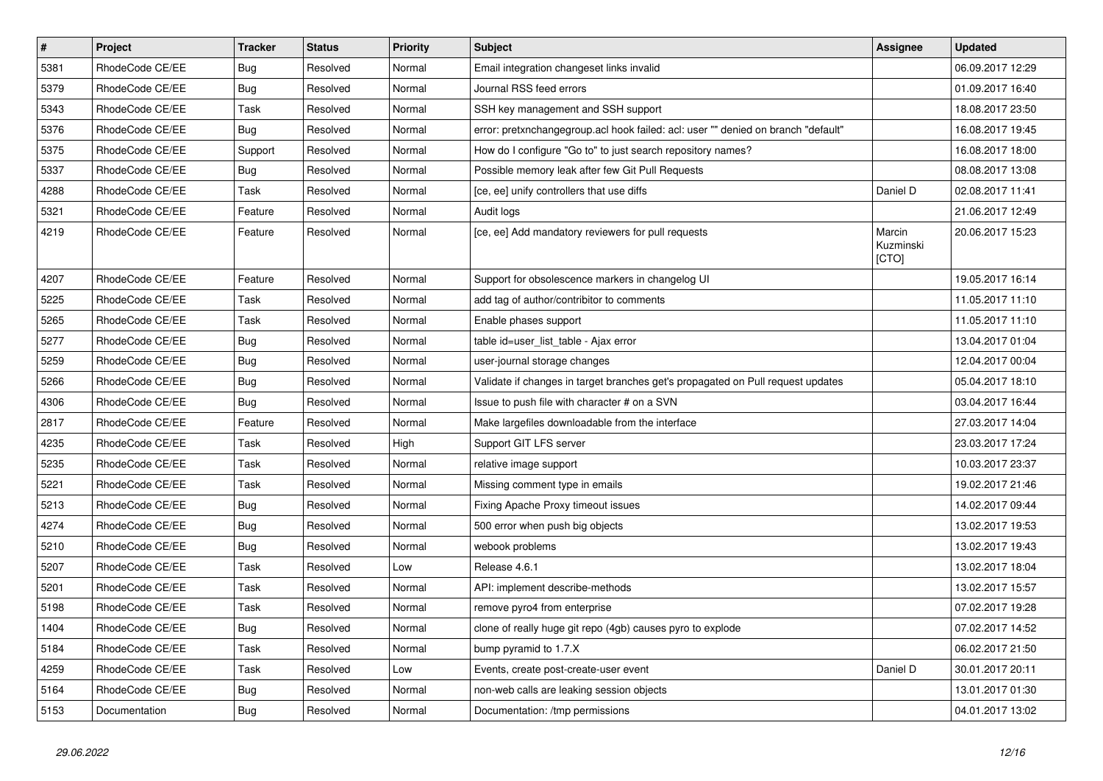| $\sharp$ | Project         | <b>Tracker</b> | <b>Status</b> | <b>Priority</b> | <b>Subject</b>                                                                    | Assignee                     | <b>Updated</b>   |
|----------|-----------------|----------------|---------------|-----------------|-----------------------------------------------------------------------------------|------------------------------|------------------|
| 5381     | RhodeCode CE/EE | <b>Bug</b>     | Resolved      | Normal          | Email integration changeset links invalid                                         |                              | 06.09.2017 12:29 |
| 5379     | RhodeCode CE/EE | Bug            | Resolved      | Normal          | Journal RSS feed errors                                                           |                              | 01.09.2017 16:40 |
| 5343     | RhodeCode CE/EE | Task           | Resolved      | Normal          | SSH key management and SSH support                                                |                              | 18.08.2017 23:50 |
| 5376     | RhodeCode CE/EE | <b>Bug</b>     | Resolved      | Normal          | error: pretxnchangegroup.acl hook failed: acl: user "" denied on branch "default" |                              | 16.08.2017 19:45 |
| 5375     | RhodeCode CE/EE | Support        | Resolved      | Normal          | How do I configure "Go to" to just search repository names?                       |                              | 16.08.2017 18:00 |
| 5337     | RhodeCode CE/EE | Bug            | Resolved      | Normal          | Possible memory leak after few Git Pull Requests                                  |                              | 08.08.2017 13:08 |
| 4288     | RhodeCode CE/EE | Task           | Resolved      | Normal          | [ce, ee] unify controllers that use diffs                                         | Daniel D                     | 02.08.2017 11:41 |
| 5321     | RhodeCode CE/EE | Feature        | Resolved      | Normal          | Audit logs                                                                        |                              | 21.06.2017 12:49 |
| 4219     | RhodeCode CE/EE | Feature        | Resolved      | Normal          | [ce, ee] Add mandatory reviewers for pull requests                                | Marcin<br>Kuzminski<br>[CTO] | 20.06.2017 15:23 |
| 4207     | RhodeCode CE/EE | Feature        | Resolved      | Normal          | Support for obsolescence markers in changelog UI                                  |                              | 19.05.2017 16:14 |
| 5225     | RhodeCode CE/EE | Task           | Resolved      | Normal          | add tag of author/contribitor to comments                                         |                              | 11.05.2017 11:10 |
| 5265     | RhodeCode CE/EE | Task           | Resolved      | Normal          | Enable phases support                                                             |                              | 11.05.2017 11:10 |
| 5277     | RhodeCode CE/EE | Bug            | Resolved      | Normal          | table id=user_list_table - Ajax error                                             |                              | 13.04.2017 01:04 |
| 5259     | RhodeCode CE/EE | Bug            | Resolved      | Normal          | user-journal storage changes                                                      |                              | 12.04.2017 00:04 |
| 5266     | RhodeCode CE/EE | Bug            | Resolved      | Normal          | Validate if changes in target branches get's propagated on Pull request updates   |                              | 05.04.2017 18:10 |
| 4306     | RhodeCode CE/EE | Bug            | Resolved      | Normal          | Issue to push file with character # on a SVN                                      |                              | 03.04.2017 16:44 |
| 2817     | RhodeCode CE/EE | Feature        | Resolved      | Normal          | Make largefiles downloadable from the interface                                   |                              | 27.03.2017 14:04 |
| 4235     | RhodeCode CE/EE | Task           | Resolved      | High            | Support GIT LFS server                                                            |                              | 23.03.2017 17:24 |
| 5235     | RhodeCode CE/EE | Task           | Resolved      | Normal          | relative image support                                                            |                              | 10.03.2017 23:37 |
| 5221     | RhodeCode CE/EE | Task           | Resolved      | Normal          | Missing comment type in emails                                                    |                              | 19.02.2017 21:46 |
| 5213     | RhodeCode CE/EE | Bug            | Resolved      | Normal          | Fixing Apache Proxy timeout issues                                                |                              | 14.02.2017 09:44 |
| 4274     | RhodeCode CE/EE | Bug            | Resolved      | Normal          | 500 error when push big objects                                                   |                              | 13.02.2017 19:53 |
| 5210     | RhodeCode CE/EE | Bug            | Resolved      | Normal          | webook problems                                                                   |                              | 13.02.2017 19:43 |
| 5207     | RhodeCode CE/EE | Task           | Resolved      | Low             | Release 4.6.1                                                                     |                              | 13.02.2017 18:04 |
| 5201     | RhodeCode CE/EE | Task           | Resolved      | Normal          | API: implement describe-methods                                                   |                              | 13.02.2017 15:57 |
| 5198     | RhodeCode CE/EE | Task           | Resolved      | Normal          | remove pyro4 from enterprise                                                      |                              | 07.02.2017 19:28 |
| 1404     | RhodeCode CE/EE | Bug            | Resolved      | Normal          | clone of really huge git repo (4gb) causes pyro to explode                        |                              | 07.02.2017 14:52 |
| 5184     | RhodeCode CE/EE | Task           | Resolved      | Normal          | bump pyramid to 1.7.X                                                             |                              | 06.02.2017 21:50 |
| 4259     | RhodeCode CE/EE | Task           | Resolved      | Low             | Events, create post-create-user event                                             | Daniel D                     | 30.01.2017 20:11 |
| 5164     | RhodeCode CE/EE | <b>Bug</b>     | Resolved      | Normal          | non-web calls are leaking session objects                                         |                              | 13.01.2017 01:30 |
| 5153     | Documentation   | <b>Bug</b>     | Resolved      | Normal          | Documentation: /tmp permissions                                                   |                              | 04.01.2017 13:02 |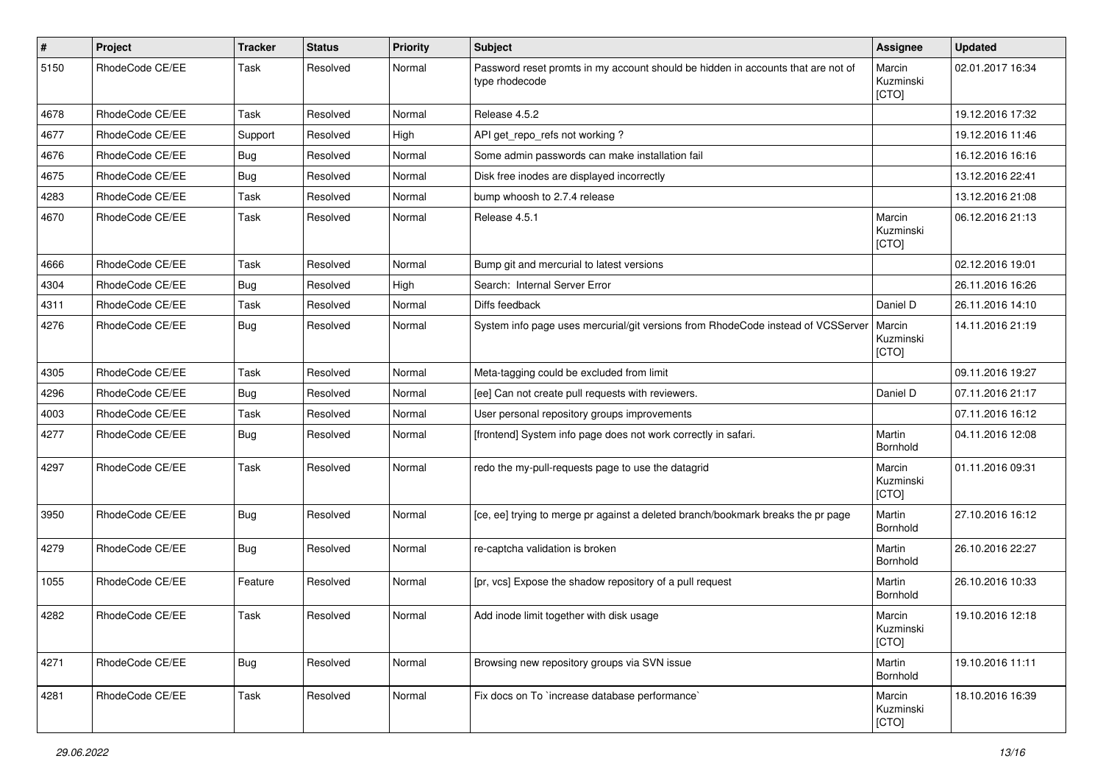| $\pmb{\#}$ | Project         | <b>Tracker</b> | <b>Status</b> | <b>Priority</b> | Subject                                                                                            | Assignee                     | <b>Updated</b>   |
|------------|-----------------|----------------|---------------|-----------------|----------------------------------------------------------------------------------------------------|------------------------------|------------------|
| 5150       | RhodeCode CE/EE | Task           | Resolved      | Normal          | Password reset promts in my account should be hidden in accounts that are not of<br>type rhodecode | Marcin<br>Kuzminski<br>[CTO] | 02.01.2017 16:34 |
| 4678       | RhodeCode CE/EE | Task           | Resolved      | Normal          | Release 4.5.2                                                                                      |                              | 19.12.2016 17:32 |
| 4677       | RhodeCode CE/EE | Support        | Resolved      | High            | API get_repo_refs not working?                                                                     |                              | 19.12.2016 11:46 |
| 4676       | RhodeCode CE/EE | <b>Bug</b>     | Resolved      | Normal          | Some admin passwords can make installation fail                                                    |                              | 16.12.2016 16:16 |
| 4675       | RhodeCode CE/EE | <b>Bug</b>     | Resolved      | Normal          | Disk free inodes are displayed incorrectly                                                         |                              | 13.12.2016 22:41 |
| 4283       | RhodeCode CE/EE | Task           | Resolved      | Normal          | bump whoosh to 2.7.4 release                                                                       |                              | 13.12.2016 21:08 |
| 4670       | RhodeCode CE/EE | Task           | Resolved      | Normal          | Release 4.5.1                                                                                      | Marcin<br>Kuzminski<br>[CTO] | 06.12.2016 21:13 |
| 4666       | RhodeCode CE/EE | Task           | Resolved      | Normal          | Bump git and mercurial to latest versions                                                          |                              | 02.12.2016 19:01 |
| 4304       | RhodeCode CE/EE | Bug            | Resolved      | High            | Search: Internal Server Error                                                                      |                              | 26.11.2016 16:26 |
| 4311       | RhodeCode CE/EE | Task           | Resolved      | Normal          | Diffs feedback                                                                                     | Daniel D                     | 26.11.2016 14:10 |
| 4276       | RhodeCode CE/EE | Bug            | Resolved      | Normal          | System info page uses mercurial/git versions from RhodeCode instead of VCSServer                   | Marcin<br>Kuzminski<br>[CTO] | 14.11.2016 21:19 |
| 4305       | RhodeCode CE/EE | Task           | Resolved      | Normal          | Meta-tagging could be excluded from limit                                                          |                              | 09.11.2016 19:27 |
| 4296       | RhodeCode CE/EE | <b>Bug</b>     | Resolved      | Normal          | [ee] Can not create pull requests with reviewers.                                                  | Daniel D                     | 07.11.2016 21:17 |
| 4003       | RhodeCode CE/EE | Task           | Resolved      | Normal          | User personal repository groups improvements                                                       |                              | 07.11.2016 16:12 |
| 4277       | RhodeCode CE/EE | Bug            | Resolved      | Normal          | [frontend] System info page does not work correctly in safari.                                     | Martin<br>Bornhold           | 04.11.2016 12:08 |
| 4297       | RhodeCode CE/EE | Task           | Resolved      | Normal          | redo the my-pull-requests page to use the datagrid                                                 | Marcin<br>Kuzminski<br>[CTO] | 01.11.2016 09:31 |
| 3950       | RhodeCode CE/EE | <b>Bug</b>     | Resolved      | Normal          | [ce, ee] trying to merge pr against a deleted branch/bookmark breaks the pr page                   | Martin<br>Bornhold           | 27.10.2016 16:12 |
| 4279       | RhodeCode CE/EE | Bug            | Resolved      | Normal          | re-captcha validation is broken                                                                    | Martin<br>Bornhold           | 26.10.2016 22:27 |
| 1055       | RhodeCode CE/EE | Feature        | Resolved      | Normal          | [pr, vcs] Expose the shadow repository of a pull request                                           | Martin<br>Bornhold           | 26.10.2016 10:33 |
| 4282       | RhodeCode CE/EE | Task           | Resolved      | Normal          | Add inode limit together with disk usage                                                           | Marcin<br>Kuzminski<br>[CTO] | 19.10.2016 12:18 |
| 4271       | RhodeCode CE/EE | Bug            | Resolved      | Normal          | Browsing new repository groups via SVN issue                                                       | Martin<br>Bornhold           | 19.10.2016 11:11 |
| 4281       | RhodeCode CE/EE | Task           | Resolved      | Normal          | Fix docs on To `increase database performance`                                                     | Marcin<br>Kuzminski<br>[CTO] | 18.10.2016 16:39 |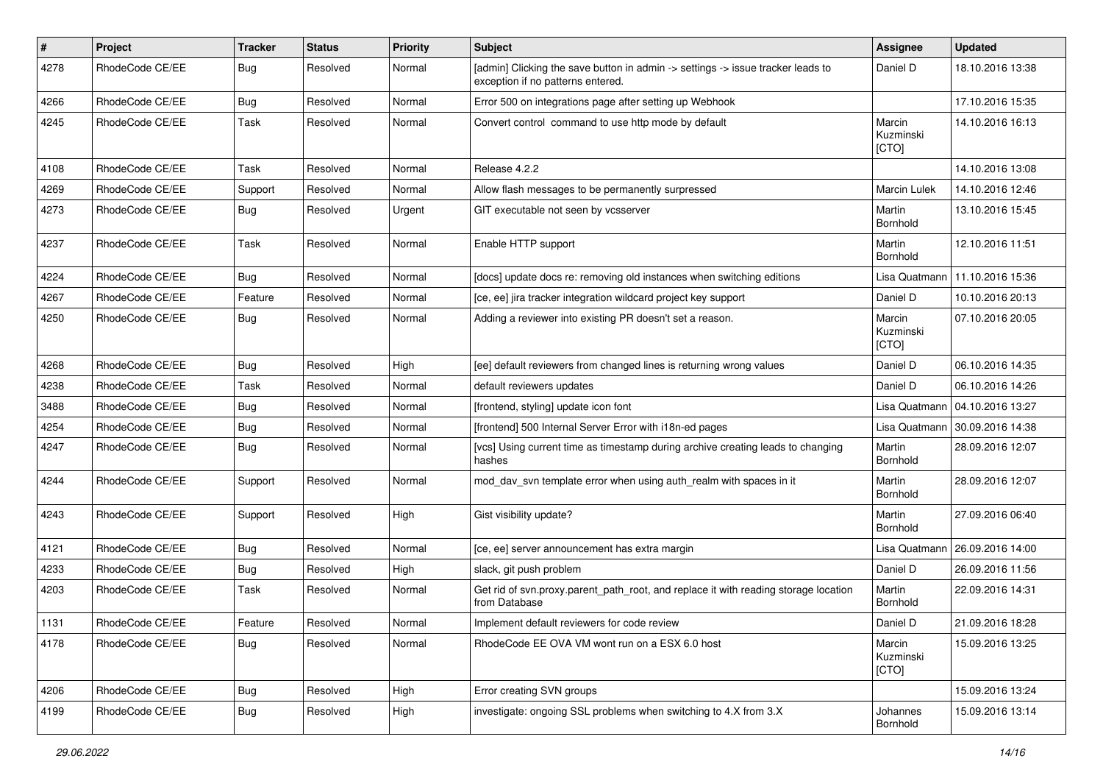| #    | Project         | <b>Tracker</b> | <b>Status</b> | <b>Priority</b> | Subject                                                                                                              | <b>Assignee</b>              | <b>Updated</b>   |
|------|-----------------|----------------|---------------|-----------------|----------------------------------------------------------------------------------------------------------------------|------------------------------|------------------|
| 4278 | RhodeCode CE/EE | Bug            | Resolved      | Normal          | [admin] Clicking the save button in admin -> settings -> issue tracker leads to<br>exception if no patterns entered. | Daniel D                     | 18.10.2016 13:38 |
| 4266 | RhodeCode CE/EE | Bug            | Resolved      | Normal          | Error 500 on integrations page after setting up Webhook                                                              |                              | 17.10.2016 15:35 |
| 4245 | RhodeCode CE/EE | Task           | Resolved      | Normal          | Convert control command to use http mode by default                                                                  | Marcin<br>Kuzminski<br>[CTO] | 14.10.2016 16:13 |
| 4108 | RhodeCode CE/EE | Task           | Resolved      | Normal          | Release 4.2.2                                                                                                        |                              | 14.10.2016 13:08 |
| 4269 | RhodeCode CE/EE | Support        | Resolved      | Normal          | Allow flash messages to be permanently surpressed                                                                    | <b>Marcin Lulek</b>          | 14.10.2016 12:46 |
| 4273 | RhodeCode CE/EE | <b>Bug</b>     | Resolved      | Urgent          | GIT executable not seen by vcsserver                                                                                 | Martin<br>Bornhold           | 13.10.2016 15:45 |
| 4237 | RhodeCode CE/EE | Task           | Resolved      | Normal          | Enable HTTP support                                                                                                  | Martin<br>Bornhold           | 12.10.2016 11:51 |
| 4224 | RhodeCode CE/EE | Bug            | Resolved      | Normal          | [docs] update docs re: removing old instances when switching editions                                                | Lisa Quatmann                | 11.10.2016 15:36 |
| 4267 | RhodeCode CE/EE | Feature        | Resolved      | Normal          | [ce, ee] jira tracker integration wildcard project key support                                                       | Daniel D                     | 10.10.2016 20:13 |
| 4250 | RhodeCode CE/EE | Bug            | Resolved      | Normal          | Adding a reviewer into existing PR doesn't set a reason.                                                             | Marcin<br>Kuzminski<br>[CTO] | 07.10.2016 20:05 |
| 4268 | RhodeCode CE/EE | Bug            | Resolved      | High            | [ee] default reviewers from changed lines is returning wrong values                                                  | Daniel D                     | 06.10.2016 14:35 |
| 4238 | RhodeCode CE/EE | Task           | Resolved      | Normal          | default reviewers updates                                                                                            | Daniel D                     | 06.10.2016 14:26 |
| 3488 | RhodeCode CE/EE | Bug            | Resolved      | Normal          | [frontend, styling] update icon font                                                                                 | Lisa Quatmann                | 04.10.2016 13:27 |
| 4254 | RhodeCode CE/EE | <b>Bug</b>     | Resolved      | Normal          | [frontend] 500 Internal Server Error with i18n-ed pages                                                              | Lisa Quatmann                | 30.09.2016 14:38 |
| 4247 | RhodeCode CE/EE | Bug            | Resolved      | Normal          | [vcs] Using current time as timestamp during archive creating leads to changing<br>hashes                            | Martin<br>Bornhold           | 28.09.2016 12:07 |
| 4244 | RhodeCode CE/EE | Support        | Resolved      | Normal          | mod_dav_svn template error when using auth_realm with spaces in it                                                   | Martin<br>Bornhold           | 28.09.2016 12:07 |
| 4243 | RhodeCode CE/EE | Support        | Resolved      | High            | Gist visibility update?                                                                                              | Martin<br>Bornhold           | 27.09.2016 06:40 |
| 4121 | RhodeCode CE/EE | Bug            | Resolved      | Normal          | [ce, ee] server announcement has extra margin                                                                        | Lisa Quatmann                | 26.09.2016 14:00 |
| 4233 | RhodeCode CE/EE | Bug            | Resolved      | High            | slack, git push problem                                                                                              | Daniel D                     | 26.09.2016 11:56 |
| 4203 | RhodeCode CE/EE | Task           | Resolved      | Normal          | Get rid of svn.proxy.parent_path_root, and replace it with reading storage location<br>from Database                 | Martin<br>Bornhold           | 22.09.2016 14:31 |
| 1131 | RhodeCode CE/EE | Feature        | Resolved      | Normal          | Implement default reviewers for code review                                                                          | Daniel D                     | 21.09.2016 18:28 |
| 4178 | RhodeCode CE/EE | Bug            | Resolved      | Normal          | RhodeCode EE OVA VM wont run on a ESX 6.0 host                                                                       | Marcin<br>Kuzminski<br>[CTO] | 15.09.2016 13:25 |
| 4206 | RhodeCode CE/EE | <b>Bug</b>     | Resolved      | High            | Error creating SVN groups                                                                                            |                              | 15.09.2016 13:24 |
| 4199 | RhodeCode CE/EE | Bug            | Resolved      | High            | investigate: ongoing SSL problems when switching to 4.X from 3.X                                                     | Johannes<br>Bornhold         | 15.09.2016 13:14 |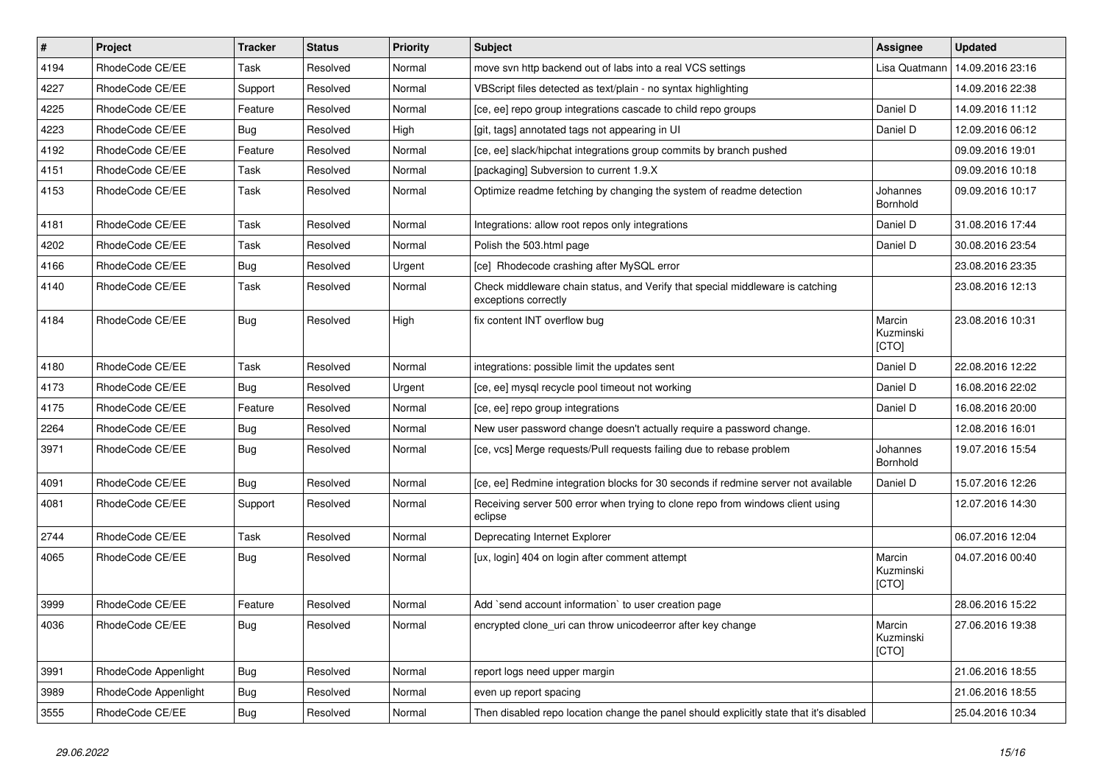| $\pmb{\#}$ | Project              | <b>Tracker</b> | <b>Status</b> | <b>Priority</b> | <b>Subject</b>                                                                                        | <b>Assignee</b>              | <b>Updated</b>   |
|------------|----------------------|----------------|---------------|-----------------|-------------------------------------------------------------------------------------------------------|------------------------------|------------------|
| 4194       | RhodeCode CE/EE      | Task           | Resolved      | Normal          | move svn http backend out of labs into a real VCS settings                                            | Lisa Quatmann                | 14.09.2016 23:16 |
| 4227       | RhodeCode CE/EE      | Support        | Resolved      | Normal          | VBScript files detected as text/plain - no syntax highlighting                                        |                              | 14.09.2016 22:38 |
| 4225       | RhodeCode CE/EE      | Feature        | Resolved      | Normal          | [ce, ee] repo group integrations cascade to child repo groups                                         | Daniel D                     | 14.09.2016 11:12 |
| 4223       | RhodeCode CE/EE      | <b>Bug</b>     | Resolved      | High            | [git, tags] annotated tags not appearing in UI                                                        | Daniel D                     | 12.09.2016 06:12 |
| 4192       | RhodeCode CE/EE      | Feature        | Resolved      | Normal          | [ce, ee] slack/hipchat integrations group commits by branch pushed                                    |                              | 09.09.2016 19:01 |
| 4151       | RhodeCode CE/EE      | Task           | Resolved      | Normal          | [packaging] Subversion to current 1.9.X                                                               |                              | 09.09.2016 10:18 |
| 4153       | RhodeCode CE/EE      | Task           | Resolved      | Normal          | Optimize readme fetching by changing the system of readme detection                                   | Johannes<br>Bornhold         | 09.09.2016 10:17 |
| 4181       | RhodeCode CE/EE      | Task           | Resolved      | Normal          | Integrations: allow root repos only integrations                                                      | Daniel D                     | 31.08.2016 17:44 |
| 4202       | RhodeCode CE/EE      | Task           | Resolved      | Normal          | Polish the 503.html page                                                                              | Daniel D                     | 30.08.2016 23:54 |
| 4166       | RhodeCode CE/EE      | <b>Bug</b>     | Resolved      | Urgent          | [ce] Rhodecode crashing after MySQL error                                                             |                              | 23.08.2016 23:35 |
| 4140       | RhodeCode CE/EE      | Task           | Resolved      | Normal          | Check middleware chain status, and Verify that special middleware is catching<br>exceptions correctly |                              | 23.08.2016 12:13 |
| 4184       | RhodeCode CE/EE      | Bug            | Resolved      | High            | fix content INT overflow bug                                                                          | Marcin<br>Kuzminski<br>[CTO] | 23.08.2016 10:31 |
| 4180       | RhodeCode CE/EE      | Task           | Resolved      | Normal          | integrations: possible limit the updates sent                                                         | Daniel D                     | 22.08.2016 12:22 |
| 4173       | RhodeCode CE/EE      | Bug            | Resolved      | Urgent          | [ce, ee] mysql recycle pool timeout not working                                                       | Daniel D                     | 16.08.2016 22:02 |
| 4175       | RhodeCode CE/EE      | Feature        | Resolved      | Normal          | [ce, ee] repo group integrations                                                                      | Daniel D                     | 16.08.2016 20:00 |
| 2264       | RhodeCode CE/EE      | <b>Bug</b>     | Resolved      | Normal          | New user password change doesn't actually require a password change.                                  |                              | 12.08.2016 16:01 |
| 3971       | RhodeCode CE/EE      | <b>Bug</b>     | Resolved      | Normal          | [ce, vcs] Merge requests/Pull requests failing due to rebase problem                                  | Johannes<br>Bornhold         | 19.07.2016 15:54 |
| 4091       | RhodeCode CE/EE      | Bug            | Resolved      | Normal          | [ce, ee] Redmine integration blocks for 30 seconds if redmine server not available                    | Daniel D                     | 15.07.2016 12:26 |
| 4081       | RhodeCode CE/EE      | Support        | Resolved      | Normal          | Receiving server 500 error when trying to clone repo from windows client using<br>eclipse             |                              | 12.07.2016 14:30 |
| 2744       | RhodeCode CE/EE      | Task           | Resolved      | Normal          | Deprecating Internet Explorer                                                                         |                              | 06.07.2016 12:04 |
| 4065       | RhodeCode CE/EE      | Bug            | Resolved      | Normal          | [ux, login] 404 on login after comment attempt                                                        | Marcin<br>Kuzminski<br>[CTO] | 04.07.2016 00:40 |
| 3999       | RhodeCode CE/EE      | Feature        | Resolved      | Normal          | Add `send account information` to user creation page                                                  |                              | 28.06.2016 15:22 |
| 4036       | RhodeCode CE/EE      | <b>Bug</b>     | Resolved      | Normal          | encrypted clone_uri can throw unicodeerror after key change                                           | Marcin<br>Kuzminski<br>[CTO] | 27.06.2016 19:38 |
| 3991       | RhodeCode Appenlight | Bug            | Resolved      | Normal          | report logs need upper margin                                                                         |                              | 21.06.2016 18:55 |
| 3989       | RhodeCode Appenlight | <b>Bug</b>     | Resolved      | Normal          | even up report spacing                                                                                |                              | 21.06.2016 18:55 |
| 3555       | RhodeCode CE/EE      | <b>Bug</b>     | Resolved      | Normal          | Then disabled repo location change the panel should explicitly state that it's disabled               |                              | 25.04.2016 10:34 |